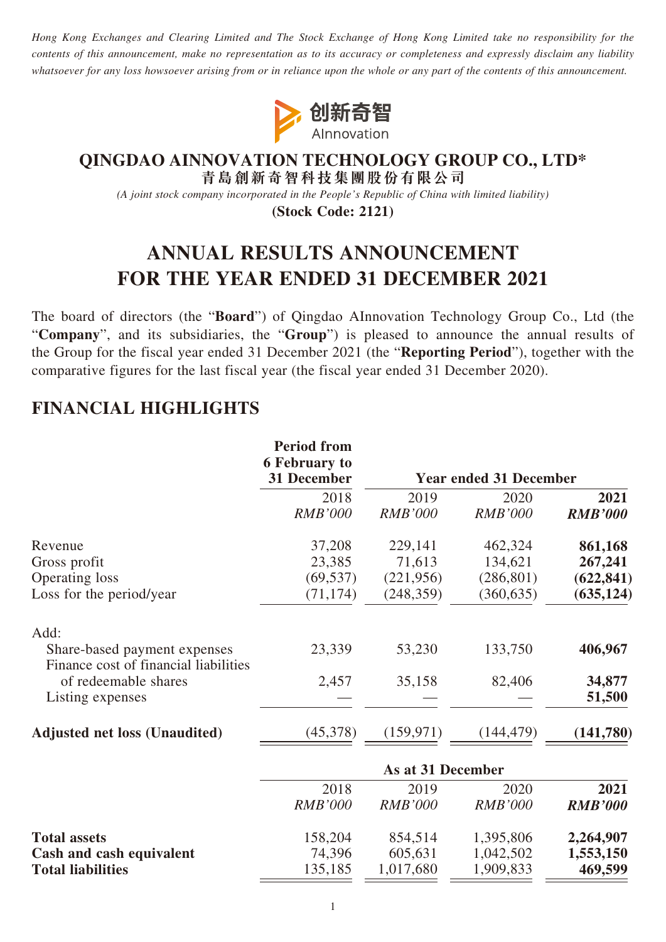*Hong Kong Exchanges and Clearing Limited and The Stock Exchange of Hong Kong Limited take no responsibility for the contents of this announcement, make no representation as to its accuracy or completeness and expressly disclaim any liability whatsoever for any loss howsoever arising from or in reliance upon the whole or any part of the contents of this announcement.*



# **QINGDAO AINNOVATION TECHNOLOGY GROUP CO., LTD\***

**青島創新奇智科技集團股份有限公司**

*(A joint stock company incorporated in the People's Republic of China with limited liability)*

**(Stock Code: 2121)**

# **ANNUAL RESULTS ANNOUNCEMENT FOR THE YEAR ENDED 31 DECEMBER 2021**

The board of directors (the "**Board**") of Qingdao AInnovation Technology Group Co., Ltd (the "**Company**", and its subsidiaries, the "**Group**") is pleased to announce the annual results of the Group for the fiscal year ended 31 December 2021 (the "**Reporting Period**"), together with the comparative figures for the last fiscal year (the fiscal year ended 31 December 2020).

# **FINANCIAL HIGHLIGHTS**

|                                                                       | <b>Period from</b><br><b>6 February to</b> |                   | <b>Year ended 31 December</b> |                |
|-----------------------------------------------------------------------|--------------------------------------------|-------------------|-------------------------------|----------------|
|                                                                       | 31 December                                |                   |                               |                |
|                                                                       | 2018                                       | 2019              | 2020                          | 2021           |
|                                                                       | <b>RMB'000</b>                             | <b>RMB'000</b>    | <b>RMB'000</b>                | <b>RMB'000</b> |
| Revenue                                                               | 37,208                                     | 229,141           | 462,324                       | 861,168        |
| Gross profit                                                          | 23,385                                     | 71,613            | 134,621                       | 267,241        |
| <b>Operating loss</b>                                                 | (69, 537)                                  | (221, 956)        | (286, 801)                    | (622, 841)     |
| Loss for the period/year                                              | (71, 174)                                  | (248, 359)        | (360, 635)                    | (635, 124)     |
| Add:                                                                  |                                            |                   |                               |                |
| Share-based payment expenses<br>Finance cost of financial liabilities | 23,339                                     | 53,230            | 133,750                       | 406,967        |
| of redeemable shares                                                  | 2,457                                      | 35,158            | 82,406                        | 34,877         |
| Listing expenses                                                      |                                            |                   |                               | 51,500         |
| <b>Adjusted net loss (Unaudited)</b>                                  | (45,378)                                   | (159, 971)        | (144, 479)                    | (141,780)      |
|                                                                       |                                            | As at 31 December |                               |                |
|                                                                       | 2018                                       | 2019              | 2020                          | 2021           |
|                                                                       | <b>RMB'000</b>                             | <b>RMB'000</b>    | <b>RMB'000</b>                | <b>RMB'000</b> |
| <b>Total assets</b>                                                   | 158,204                                    | 854,514           | 1,395,806                     | 2,264,907      |
| Cash and cash equivalent                                              | 74,396                                     | 605,631           | 1,042,502                     | 1,553,150      |

**Total liabilities** 135,185 1,017,680 1,909,833 **469,599**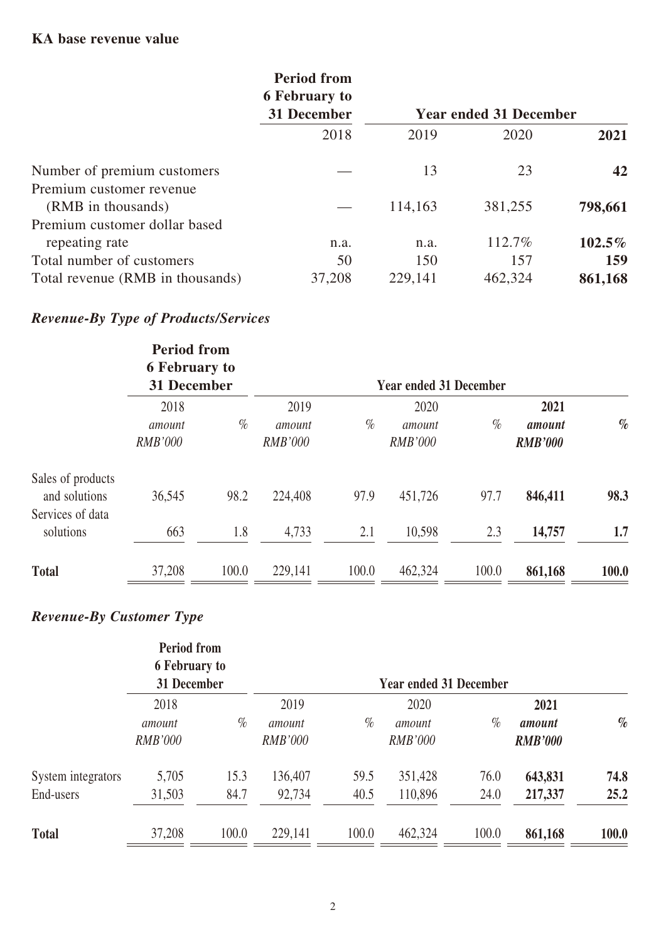## **KA base revenue value**

|                                  | <b>Period from</b><br><b>6 February to</b> |         |                               |           |
|----------------------------------|--------------------------------------------|---------|-------------------------------|-----------|
|                                  | 31 December                                |         | <b>Year ended 31 December</b> |           |
|                                  | 2018                                       | 2019    | 2020                          | 2021      |
| Number of premium customers      |                                            | 13      | 23                            | 42        |
| Premium customer revenue         |                                            |         |                               |           |
| (RMB in thousands)               |                                            | 114,163 | 381,255                       | 798,661   |
| Premium customer dollar based    |                                            |         |                               |           |
| repeating rate                   | n.a.                                       | n.a.    | 112.7%                        | $102.5\%$ |
| Total number of customers        | 50                                         | 150     | 157                           | 159       |
| Total revenue (RMB in thousands) | 37,208                                     | 229,141 | 462,324                       | 861,168   |

# *Revenue-By Type of Products/Services*

|                                                        | <b>Period from</b><br><b>6 February to</b><br><b>31 December</b> |       |                                  |       | <b>Year ended 31 December</b>    |       |                                  |       |
|--------------------------------------------------------|------------------------------------------------------------------|-------|----------------------------------|-------|----------------------------------|-------|----------------------------------|-------|
|                                                        | 2018<br>amount<br><b>RMB'000</b>                                 | $\%$  | 2019<br>amount<br><b>RMB'000</b> | $\%$  | 2020<br>amount<br><b>RMB'000</b> | $\%$  | 2021<br>amount<br><b>RMB'000</b> | $\%$  |
| Sales of products<br>and solutions<br>Services of data | 36,545                                                           | 98.2  | 224,408                          | 97.9  | 451,726                          | 97.7  | 846,411                          | 98.3  |
| solutions                                              | 663                                                              | 1.8   | 4,733                            | 2.1   | 10,598                           | 2.3   | 14,757                           | 1.7   |
| <b>Total</b>                                           | 37,208                                                           | 100.0 | 229,141                          | 100.0 | 462,324                          | 100.0 | 861,168                          | 100.0 |

# *Revenue-By Customer Type*

|                                 | <b>Period from</b><br><b>6 February to</b><br>31 December |              |                                  |              | <b>Year ended 31 December</b>    |              |                                  |              |
|---------------------------------|-----------------------------------------------------------|--------------|----------------------------------|--------------|----------------------------------|--------------|----------------------------------|--------------|
|                                 | 2018<br>amount<br><b>RMB'000</b>                          | $\%$         | 2019<br>amount<br><b>RMB'000</b> | $\%$         | 2020<br>amount<br><b>RMB'000</b> | $\%$         | 2021<br>amount<br><b>RMB'000</b> | $\%$         |
| System integrators<br>End-users | 5,705<br>31,503                                           | 15.3<br>84.7 | 136,407<br>92,734                | 59.5<br>40.5 | 351,428<br>110,896               | 76.0<br>24.0 | 643,831<br>217,337               | 74.8<br>25.2 |
| <b>Total</b>                    | 37,208                                                    | 100.0        | 229,141                          | 100.0        | 462,324                          | 100.0        | 861,168                          | 100.0        |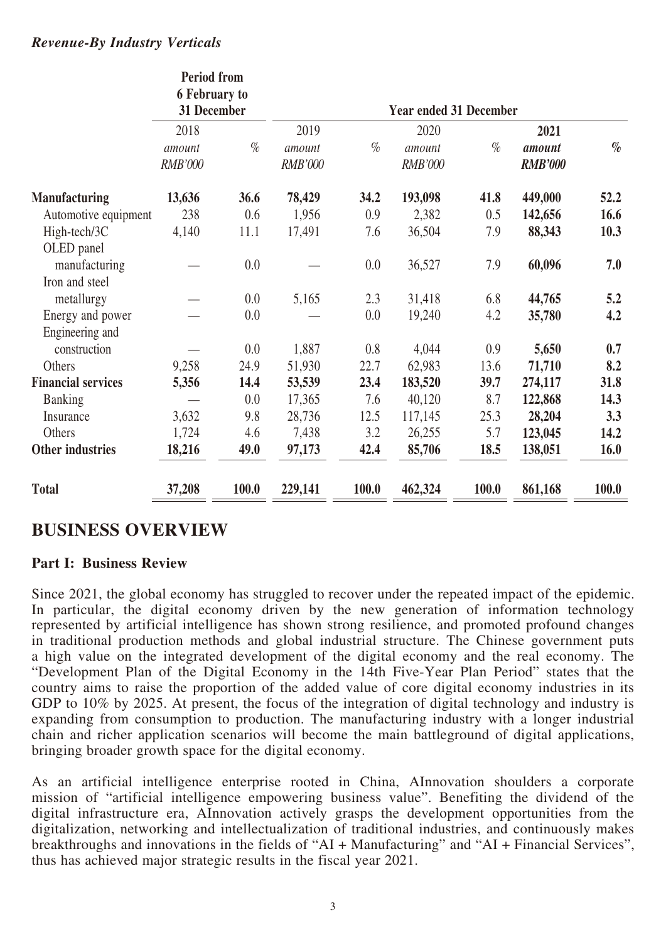#### *Revenue-By Industry Verticals*

|                           | <b>Period from</b><br><b>6 February to</b><br>31 December |       |                                  |       | <b>Year ended 31 December</b>    |       |                                  |       |
|---------------------------|-----------------------------------------------------------|-------|----------------------------------|-------|----------------------------------|-------|----------------------------------|-------|
|                           | 2018<br>amount<br><b>RMB'000</b>                          | $\%$  | 2019<br>amount<br><b>RMB'000</b> | $\%$  | 2020<br>amount<br><b>RMB'000</b> | $\%$  | 2021<br>amount<br><b>RMB'000</b> | $\%$  |
| <b>Manufacturing</b>      | 13,636                                                    | 36.6  | 78,429                           | 34.2  | 193,098                          | 41.8  | 449,000                          | 52.2  |
| Automotive equipment      | 238                                                       | 0.6   | 1,956                            | 0.9   | 2,382                            | 0.5   | 142,656                          | 16.6  |
| High-tech/3C              | 4,140                                                     | 11.1  | 17,491                           | 7.6   | 36,504                           | 7.9   | 88,343                           | 10.3  |
| OLED panel                |                                                           |       |                                  |       |                                  |       |                                  |       |
| manufacturing             |                                                           | 0.0   |                                  | 0.0   | 36,527                           | 7.9   | 60,096                           | 7.0   |
| Iron and steel            |                                                           |       |                                  |       |                                  |       |                                  |       |
| metallurgy                |                                                           | 0.0   | 5,165                            | 2.3   | 31,418                           | 6.8   | 44,765                           | 5.2   |
| Energy and power          |                                                           | 0.0   |                                  | 0.0   | 19,240                           | 4.2   | 35,780                           | 4.2   |
| Engineering and           |                                                           |       |                                  |       |                                  |       |                                  |       |
| construction              |                                                           | 0.0   | 1,887                            | 0.8   | 4,044                            | 0.9   | 5,650                            | 0.7   |
| Others                    | 9,258                                                     | 24.9  | 51,930                           | 22.7  | 62,983                           | 13.6  | 71,710                           | 8.2   |
| <b>Financial services</b> | 5,356                                                     | 14.4  | 53,539                           | 23.4  | 183,520                          | 39.7  | 274,117                          | 31.8  |
| <b>Banking</b>            |                                                           | 0.0   | 17,365                           | 7.6   | 40,120                           | 8.7   | 122,868                          | 14.3  |
| Insurance                 | 3,632                                                     | 9.8   | 28,736                           | 12.5  | 117,145                          | 25.3  | 28,204                           | 3.3   |
| Others                    | 1,724                                                     | 4.6   | 7,438                            | 3.2   | 26,255                           | 5.7   | 123,045                          | 14.2  |
| Other industries          | 18,216                                                    | 49.0  | 97,173                           | 42.4  | 85,706                           | 18.5  | 138,051                          | 16.0  |
| <b>Total</b>              | 37,208                                                    | 100.0 | 229,141                          | 100.0 | 462,324                          | 100.0 | 861,168                          | 100.0 |

## **BUSINESS OVERVIEW**

#### **Part I: Business Review**

Since 2021, the global economy has struggled to recover under the repeated impact of the epidemic. In particular, the digital economy driven by the new generation of information technology represented by artificial intelligence has shown strong resilience, and promoted profound changes in traditional production methods and global industrial structure. The Chinese government puts a high value on the integrated development of the digital economy and the real economy. The "Development Plan of the Digital Economy in the 14th Five-Year Plan Period" states that the country aims to raise the proportion of the added value of core digital economy industries in its GDP to 10% by 2025. At present, the focus of the integration of digital technology and industry is expanding from consumption to production. The manufacturing industry with a longer industrial chain and richer application scenarios will become the main battleground of digital applications, bringing broader growth space for the digital economy.

As an artificial intelligence enterprise rooted in China, AInnovation shoulders a corporate mission of "artificial intelligence empowering business value". Benefiting the dividend of the digital infrastructure era, AInnovation actively grasps the development opportunities from the digitalization, networking and intellectualization of traditional industries, and continuously makes breakthroughs and innovations in the fields of "AI + Manufacturing" and "AI + Financial Services", thus has achieved major strategic results in the fiscal year 2021.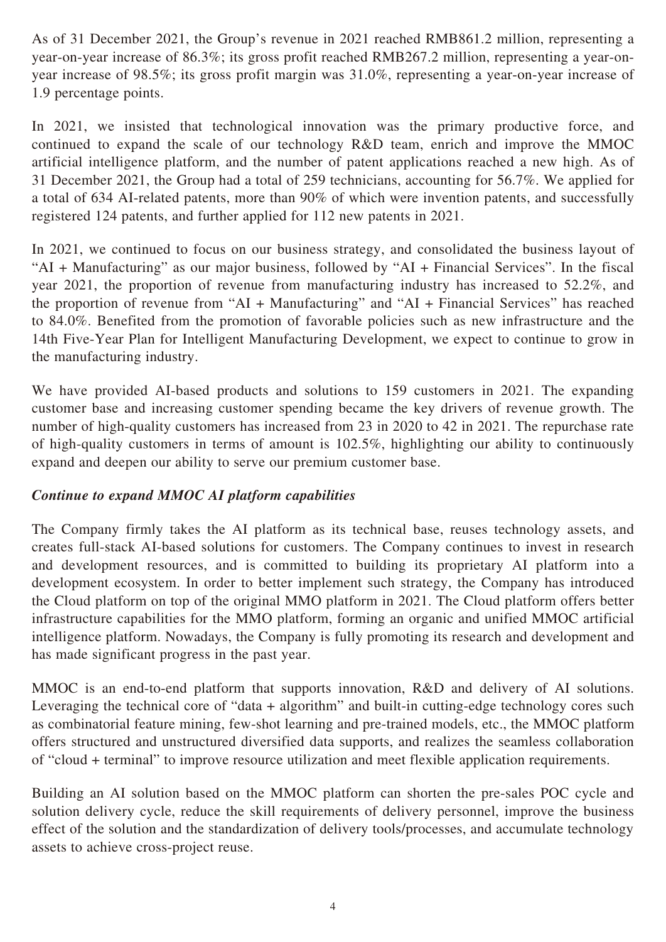As of 31 December 2021, the Group's revenue in 2021 reached RMB861.2 million, representing a year-on-year increase of 86.3%; its gross profit reached RMB267.2 million, representing a year-onyear increase of 98.5%; its gross profit margin was 31.0%, representing a year-on-year increase of 1.9 percentage points.

In 2021, we insisted that technological innovation was the primary productive force, and continued to expand the scale of our technology R&D team, enrich and improve the MMOC artificial intelligence platform, and the number of patent applications reached a new high. As of 31 December 2021, the Group had a total of 259 technicians, accounting for 56.7%. We applied for a total of 634 AI-related patents, more than 90% of which were invention patents, and successfully registered 124 patents, and further applied for 112 new patents in 2021.

In 2021, we continued to focus on our business strategy, and consolidated the business layout of "AI + Manufacturing" as our major business, followed by "AI + Financial Services". In the fiscal year 2021, the proportion of revenue from manufacturing industry has increased to 52.2%, and the proportion of revenue from "AI + Manufacturing" and "AI + Financial Services" has reached to 84.0%. Benefited from the promotion of favorable policies such as new infrastructure and the 14th Five-Year Plan for Intelligent Manufacturing Development, we expect to continue to grow in the manufacturing industry.

We have provided AI-based products and solutions to 159 customers in 2021. The expanding customer base and increasing customer spending became the key drivers of revenue growth. The number of high-quality customers has increased from 23 in 2020 to 42 in 2021. The repurchase rate of high-quality customers in terms of amount is 102.5%, highlighting our ability to continuously expand and deepen our ability to serve our premium customer base.

#### *Continue to expand MMOC AI platform capabilities*

The Company firmly takes the AI platform as its technical base, reuses technology assets, and creates full-stack AI-based solutions for customers. The Company continues to invest in research and development resources, and is committed to building its proprietary AI platform into a development ecosystem. In order to better implement such strategy, the Company has introduced the Cloud platform on top of the original MMO platform in 2021. The Cloud platform offers better infrastructure capabilities for the MMO platform, forming an organic and unified MMOC artificial intelligence platform. Nowadays, the Company is fully promoting its research and development and has made significant progress in the past year.

MMOC is an end-to-end platform that supports innovation, R&D and delivery of AI solutions. Leveraging the technical core of "data + algorithm" and built-in cutting-edge technology cores such as combinatorial feature mining, few-shot learning and pre-trained models, etc., the MMOC platform offers structured and unstructured diversified data supports, and realizes the seamless collaboration of "cloud + terminal" to improve resource utilization and meet flexible application requirements.

Building an AI solution based on the MMOC platform can shorten the pre-sales POC cycle and solution delivery cycle, reduce the skill requirements of delivery personnel, improve the business effect of the solution and the standardization of delivery tools/processes, and accumulate technology assets to achieve cross-project reuse.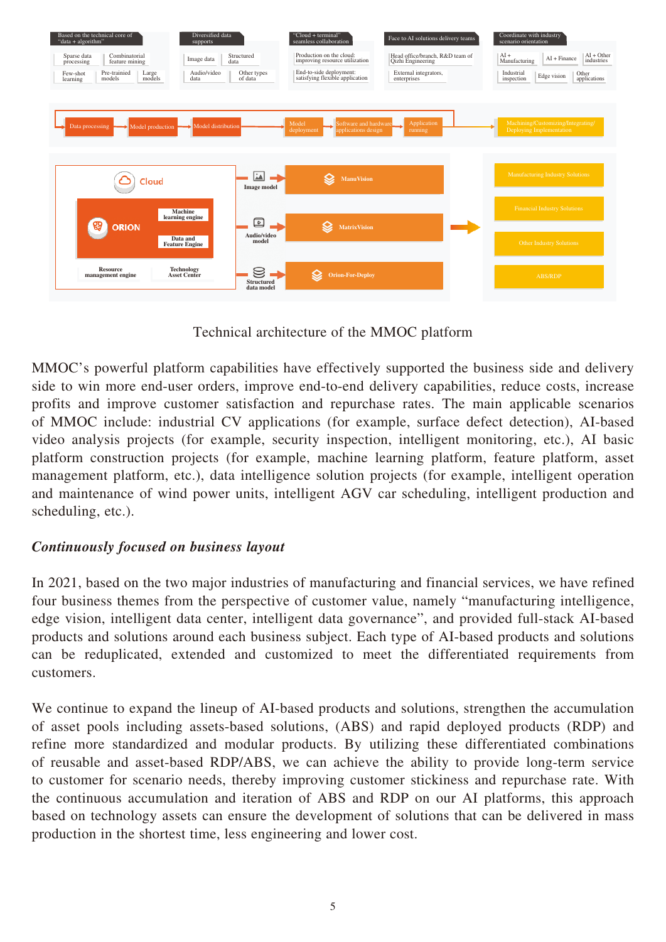

Technical architecture of the MMOC platform

MMOC's powerful platform capabilities have effectively supported the business side and delivery side to win more end-user orders, improve end-to-end delivery capabilities, reduce costs, increase profits and improve customer satisfaction and repurchase rates. The main applicable scenarios of MMOC include: industrial CV applications (for example, surface defect detection), AI-based video analysis projects (for example, security inspection, intelligent monitoring, etc.), AI basic platform construction projects (for example, machine learning platform, feature platform, asset management platform, etc.), data intelligence solution projects (for example, intelligent operation and maintenance of wind power units, intelligent AGV car scheduling, intelligent production and scheduling, etc.).

## *Continuously focused on business layout*

In 2021, based on the two major industries of manufacturing and financial services, we have refined four business themes from the perspective of customer value, namely "manufacturing intelligence, edge vision, intelligent data center, intelligent data governance", and provided full-stack AI-based products and solutions around each business subject. Each type of AI-based products and solutions can be reduplicated, extended and customized to meet the differentiated requirements from customers.

We continue to expand the lineup of AI-based products and solutions, strengthen the accumulation of asset pools including assets-based solutions, (ABS) and rapid deployed products (RDP) and refine more standardized and modular products. By utilizing these differentiated combinations of reusable and asset-based RDP/ABS, we can achieve the ability to provide long-term service to customer for scenario needs, thereby improving customer stickiness and repurchase rate. With the continuous accumulation and iteration of ABS and RDP on our AI platforms, this approach based on technology assets can ensure the development of solutions that can be delivered in mass production in the shortest time, less engineering and lower cost.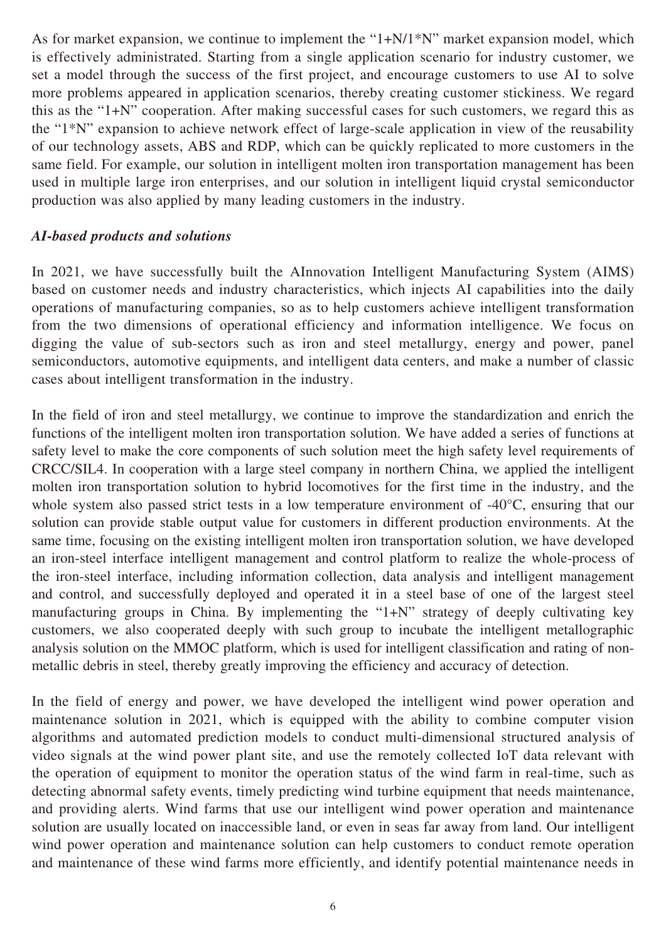As for market expansion, we continue to implement the "1+N/1\*N" market expansion model, which is effectively administrated. Starting from a single application scenario for industry customer, we set a model through the success of the first project, and encourage customers to use AI to solve more problems appeared in application scenarios, thereby creating customer stickiness. We regard this as the "1+N" cooperation. After making successful cases for such customers, we regard this as the "1\*N" expansion to achieve network effect of large-scale application in view of the reusability of our technology assets, ABS and RDP, which can be quickly replicated to more customers in the same field. For example, our solution in intelligent molten iron transportation management has been used in multiple large iron enterprises, and our solution in intelligent liquid crystal semiconductor production was also applied by many leading customers in the industry.

#### *AI-based products and solutions*

In 2021, we have successfully built the AInnovation Intelligent Manufacturing System (AIMS) based on customer needs and industry characteristics, which injects AI capabilities into the daily operations of manufacturing companies, so as to help customers achieve intelligent transformation from the two dimensions of operational efficiency and information intelligence. We focus on digging the value of sub-sectors such as iron and steel metallurgy, energy and power, panel semiconductors, automotive equipments, and intelligent data centers, and make a number of classic cases about intelligent transformation in the industry.

In the field of iron and steel metallurgy, we continue to improve the standardization and enrich the functions of the intelligent molten iron transportation solution. We have added a series of functions at safety level to make the core components of such solution meet the high safety level requirements of CRCC/SIL4. In cooperation with a large steel company in northern China, we applied the intelligent molten iron transportation solution to hybrid locomotives for the first time in the industry, and the whole system also passed strict tests in a low temperature environment of -40°C, ensuring that our solution can provide stable output value for customers in different production environments. At the same time, focusing on the existing intelligent molten iron transportation solution, we have developed an iron-steel interface intelligent management and control platform to realize the whole-process of the iron-steel interface, including information collection, data analysis and intelligent management and control, and successfully deployed and operated it in a steel base of one of the largest steel manufacturing groups in China. By implementing the "1+N" strategy of deeply cultivating key customers, we also cooperated deeply with such group to incubate the intelligent metallographic analysis solution on the MMOC platform, which is used for intelligent classification and rating of nonmetallic debris in steel, thereby greatly improving the efficiency and accuracy of detection.

In the field of energy and power, we have developed the intelligent wind power operation and maintenance solution in 2021, which is equipped with the ability to combine computer vision algorithms and automated prediction models to conduct multi-dimensional structured analysis of video signals at the wind power plant site, and use the remotely collected IoT data relevant with the operation of equipment to monitor the operation status of the wind farm in real-time, such as detecting abnormal safety events, timely predicting wind turbine equipment that needs maintenance, and providing alerts. Wind farms that use our intelligent wind power operation and maintenance solution are usually located on inaccessible land, or even in seas far away from land. Our intelligent wind power operation and maintenance solution can help customers to conduct remote operation and maintenance of these wind farms more efficiently, and identify potential maintenance needs in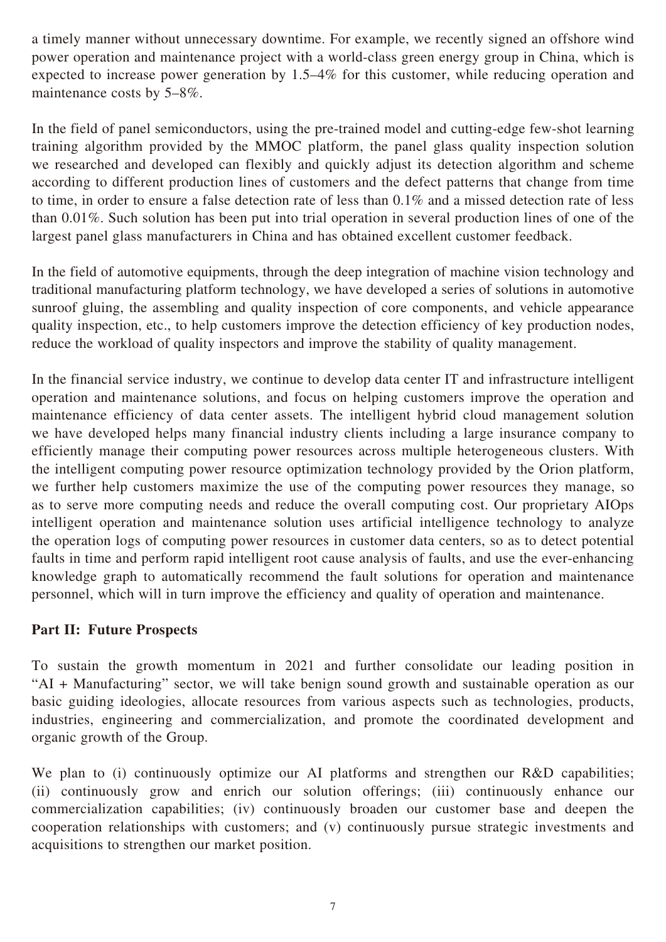a timely manner without unnecessary downtime. For example, we recently signed an offshore wind power operation and maintenance project with a world-class green energy group in China, which is expected to increase power generation by 1.5–4% for this customer, while reducing operation and maintenance costs by 5–8%.

In the field of panel semiconductors, using the pre-trained model and cutting-edge few-shot learning training algorithm provided by the MMOC platform, the panel glass quality inspection solution we researched and developed can flexibly and quickly adjust its detection algorithm and scheme according to different production lines of customers and the defect patterns that change from time to time, in order to ensure a false detection rate of less than 0.1% and a missed detection rate of less than 0.01%. Such solution has been put into trial operation in several production lines of one of the largest panel glass manufacturers in China and has obtained excellent customer feedback.

In the field of automotive equipments, through the deep integration of machine vision technology and traditional manufacturing platform technology, we have developed a series of solutions in automotive sunroof gluing, the assembling and quality inspection of core components, and vehicle appearance quality inspection, etc., to help customers improve the detection efficiency of key production nodes, reduce the workload of quality inspectors and improve the stability of quality management.

In the financial service industry, we continue to develop data center IT and infrastructure intelligent operation and maintenance solutions, and focus on helping customers improve the operation and maintenance efficiency of data center assets. The intelligent hybrid cloud management solution we have developed helps many financial industry clients including a large insurance company to efficiently manage their computing power resources across multiple heterogeneous clusters. With the intelligent computing power resource optimization technology provided by the Orion platform, we further help customers maximize the use of the computing power resources they manage, so as to serve more computing needs and reduce the overall computing cost. Our proprietary AIOps intelligent operation and maintenance solution uses artificial intelligence technology to analyze the operation logs of computing power resources in customer data centers, so as to detect potential faults in time and perform rapid intelligent root cause analysis of faults, and use the ever-enhancing knowledge graph to automatically recommend the fault solutions for operation and maintenance personnel, which will in turn improve the efficiency and quality of operation and maintenance.

## **Part II: Future Prospects**

To sustain the growth momentum in 2021 and further consolidate our leading position in "AI + Manufacturing" sector, we will take benign sound growth and sustainable operation as our basic guiding ideologies, allocate resources from various aspects such as technologies, products, industries, engineering and commercialization, and promote the coordinated development and organic growth of the Group.

We plan to (i) continuously optimize our AI platforms and strengthen our R&D capabilities; (ii) continuously grow and enrich our solution offerings; (iii) continuously enhance our commercialization capabilities; (iv) continuously broaden our customer base and deepen the cooperation relationships with customers; and (v) continuously pursue strategic investments and acquisitions to strengthen our market position.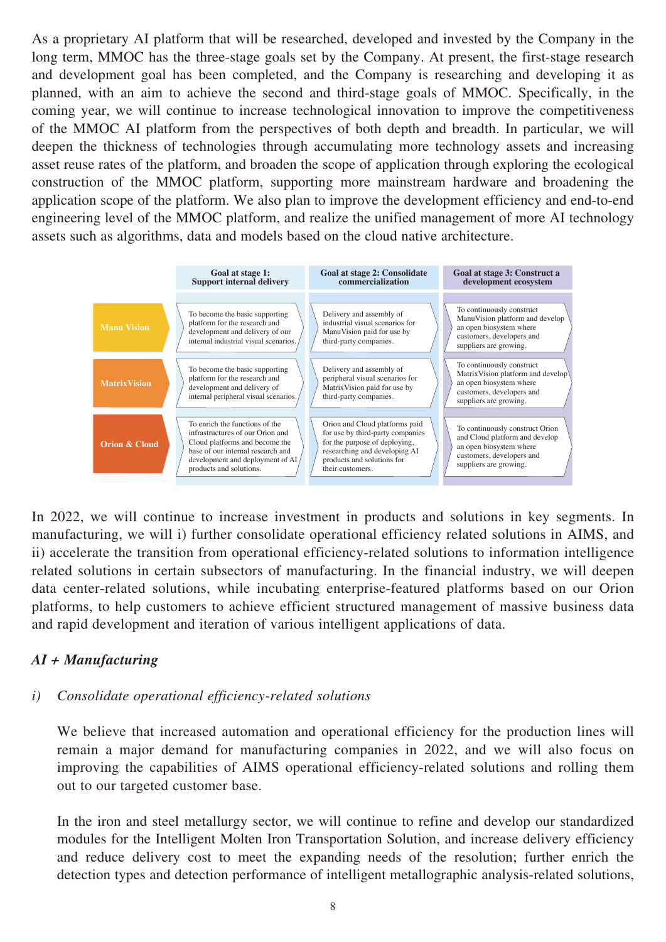As a proprietary AI platform that will be researched, developed and invested by the Company in the long term, MMOC has the three-stage goals set by the Company. At present, the first-stage research and development goal has been completed, and the Company is researching and developing it as planned, with an aim to achieve the second and third-stage goals of MMOC. Specifically, in the coming year, we will continue to increase technological innovation to improve the competitiveness of the MMOC AI platform from the perspectives of both depth and breadth. In particular, we will deepen the thickness of technologies through accumulating more technology assets and increasing asset reuse rates of the platform, and broaden the scope of application through exploring the ecological construction of the MMOC platform, supporting more mainstream hardware and broadening the application scope of the platform. We also plan to improve the development efficiency and end-to-end engineering level of the MMOC platform, and realize the unified management of more AI technology assets such as algorithms, data and models based on the cloud native architecture.



In 2022, we will continue to increase investment in products and solutions in key segments. In manufacturing, we will i) further consolidate operational efficiency related solutions in AIMS, and ii) accelerate the transition from operational efficiency-related solutions to information intelligence related solutions in certain subsectors of manufacturing. In the financial industry, we will deepen data center-related solutions, while incubating enterprise-featured platforms based on our Orion platforms, to help customers to achieve efficient structured management of massive business data and rapid development and iteration of various intelligent applications of data.

## *AI + Manufacturing*

## *i) Consolidate operational efficiency-related solutions*

We believe that increased automation and operational efficiency for the production lines will remain a major demand for manufacturing companies in 2022, and we will also focus on improving the capabilities of AIMS operational efficiency-related solutions and rolling them out to our targeted customer base.

In the iron and steel metallurgy sector, we will continue to refine and develop our standardized modules for the Intelligent Molten Iron Transportation Solution, and increase delivery efficiency and reduce delivery cost to meet the expanding needs of the resolution; further enrich the detection types and detection performance of intelligent metallographic analysis-related solutions,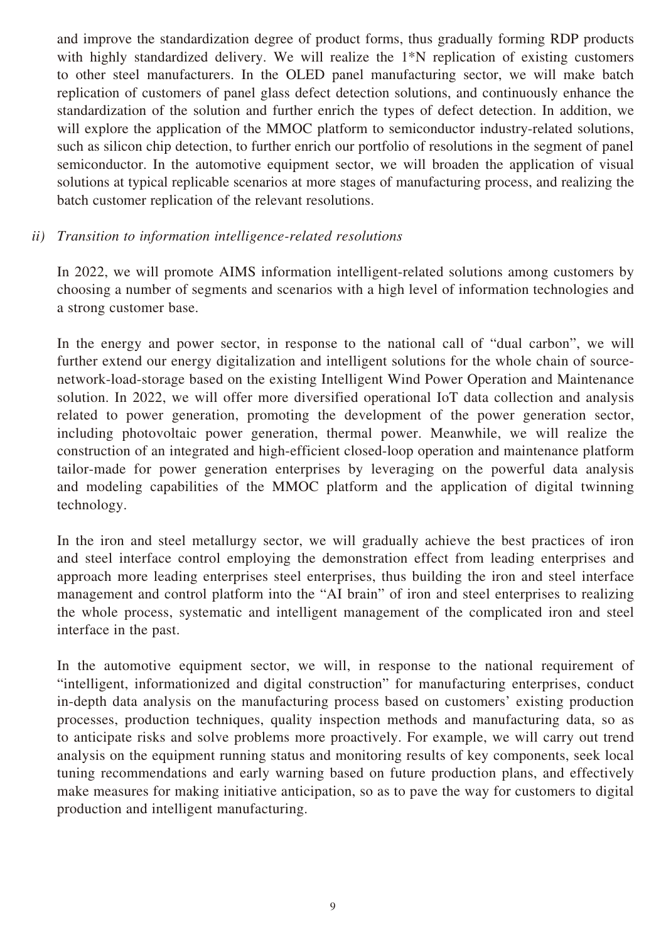and improve the standardization degree of product forms, thus gradually forming RDP products with highly standardized delivery. We will realize the 1<sup>\*</sup>N replication of existing customers to other steel manufacturers. In the OLED panel manufacturing sector, we will make batch replication of customers of panel glass defect detection solutions, and continuously enhance the standardization of the solution and further enrich the types of defect detection. In addition, we will explore the application of the MMOC platform to semiconductor industry-related solutions, such as silicon chip detection, to further enrich our portfolio of resolutions in the segment of panel semiconductor. In the automotive equipment sector, we will broaden the application of visual solutions at typical replicable scenarios at more stages of manufacturing process, and realizing the batch customer replication of the relevant resolutions.

#### *ii) Transition to information intelligence-related resolutions*

In 2022, we will promote AIMS information intelligent-related solutions among customers by choosing a number of segments and scenarios with a high level of information technologies and a strong customer base.

In the energy and power sector, in response to the national call of "dual carbon", we will further extend our energy digitalization and intelligent solutions for the whole chain of sourcenetwork-load-storage based on the existing Intelligent Wind Power Operation and Maintenance solution. In 2022, we will offer more diversified operational IoT data collection and analysis related to power generation, promoting the development of the power generation sector, including photovoltaic power generation, thermal power. Meanwhile, we will realize the construction of an integrated and high-efficient closed-loop operation and maintenance platform tailor-made for power generation enterprises by leveraging on the powerful data analysis and modeling capabilities of the MMOC platform and the application of digital twinning technology.

In the iron and steel metallurgy sector, we will gradually achieve the best practices of iron and steel interface control employing the demonstration effect from leading enterprises and approach more leading enterprises steel enterprises, thus building the iron and steel interface management and control platform into the "AI brain" of iron and steel enterprises to realizing the whole process, systematic and intelligent management of the complicated iron and steel interface in the past.

In the automotive equipment sector, we will, in response to the national requirement of "intelligent, informationized and digital construction" for manufacturing enterprises, conduct in-depth data analysis on the manufacturing process based on customers' existing production processes, production techniques, quality inspection methods and manufacturing data, so as to anticipate risks and solve problems more proactively. For example, we will carry out trend analysis on the equipment running status and monitoring results of key components, seek local tuning recommendations and early warning based on future production plans, and effectively make measures for making initiative anticipation, so as to pave the way for customers to digital production and intelligent manufacturing.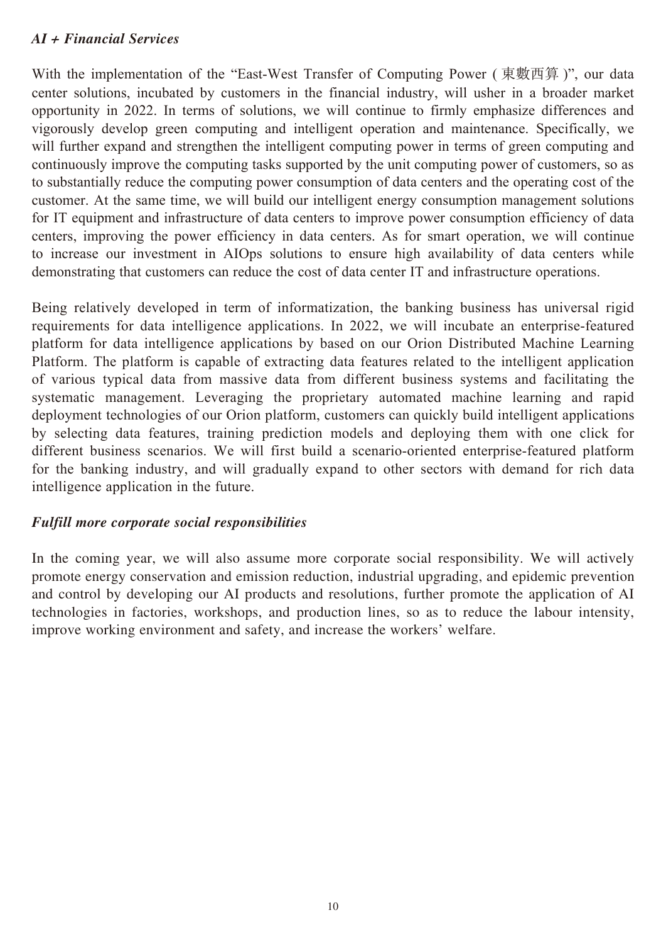#### *AI + Financial Services*

With the implementation of the "East-West Transfer of Computing Power (東數西算)", our data center solutions, incubated by customers in the financial industry, will usher in a broader market opportunity in 2022. In terms of solutions, we will continue to firmly emphasize differences and vigorously develop green computing and intelligent operation and maintenance. Specifically, we will further expand and strengthen the intelligent computing power in terms of green computing and continuously improve the computing tasks supported by the unit computing power of customers, so as to substantially reduce the computing power consumption of data centers and the operating cost of the customer. At the same time, we will build our intelligent energy consumption management solutions for IT equipment and infrastructure of data centers to improve power consumption efficiency of data centers, improving the power efficiency in data centers. As for smart operation, we will continue to increase our investment in AIOps solutions to ensure high availability of data centers while demonstrating that customers can reduce the cost of data center IT and infrastructure operations.

Being relatively developed in term of informatization, the banking business has universal rigid requirements for data intelligence applications. In 2022, we will incubate an enterprise-featured platform for data intelligence applications by based on our Orion Distributed Machine Learning Platform. The platform is capable of extracting data features related to the intelligent application of various typical data from massive data from different business systems and facilitating the systematic management. Leveraging the proprietary automated machine learning and rapid deployment technologies of our Orion platform, customers can quickly build intelligent applications by selecting data features, training prediction models and deploying them with one click for different business scenarios. We will first build a scenario-oriented enterprise-featured platform for the banking industry, and will gradually expand to other sectors with demand for rich data intelligence application in the future.

#### *Fulfill more corporate social responsibilities*

In the coming year, we will also assume more corporate social responsibility. We will actively promote energy conservation and emission reduction, industrial upgrading, and epidemic prevention and control by developing our AI products and resolutions, further promote the application of AI technologies in factories, workshops, and production lines, so as to reduce the labour intensity, improve working environment and safety, and increase the workers' welfare.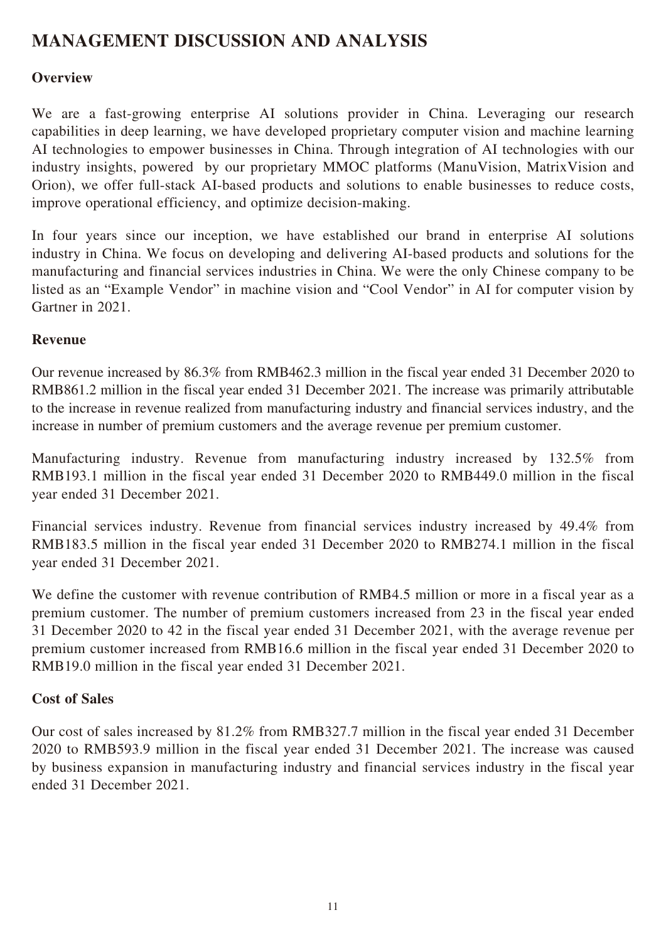# **MANAGEMENT DISCUSSION AND ANALYSIS**

#### **Overview**

We are a fast-growing enterprise AI solutions provider in China. Leveraging our research capabilities in deep learning, we have developed proprietary computer vision and machine learning AI technologies to empower businesses in China. Through integration of AI technologies with our industry insights, powered by our proprietary MMOC platforms (ManuVision, MatrixVision and Orion), we offer full-stack AI-based products and solutions to enable businesses to reduce costs, improve operational efficiency, and optimize decision-making.

In four years since our inception, we have established our brand in enterprise AI solutions industry in China. We focus on developing and delivering AI-based products and solutions for the manufacturing and financial services industries in China. We were the only Chinese company to be listed as an "Example Vendor" in machine vision and "Cool Vendor" in AI for computer vision by Gartner in 2021.

#### **Revenue**

Our revenue increased by 86.3% from RMB462.3 million in the fiscal year ended 31 December 2020 to RMB861.2 million in the fiscal year ended 31 December 2021. The increase was primarily attributable to the increase in revenue realized from manufacturing industry and financial services industry, and the increase in number of premium customers and the average revenue per premium customer.

Manufacturing industry. Revenue from manufacturing industry increased by 132.5% from RMB193.1 million in the fiscal year ended 31 December 2020 to RMB449.0 million in the fiscal year ended 31 December 2021.

Financial services industry. Revenue from financial services industry increased by 49.4% from RMB183.5 million in the fiscal year ended 31 December 2020 to RMB274.1 million in the fiscal year ended 31 December 2021.

We define the customer with revenue contribution of RMB4.5 million or more in a fiscal year as a premium customer. The number of premium customers increased from 23 in the fiscal year ended 31 December 2020 to 42 in the fiscal year ended 31 December 2021, with the average revenue per premium customer increased from RMB16.6 million in the fiscal year ended 31 December 2020 to RMB19.0 million in the fiscal year ended 31 December 2021.

#### **Cost of Sales**

Our cost of sales increased by 81.2% from RMB327.7 million in the fiscal year ended 31 December 2020 to RMB593.9 million in the fiscal year ended 31 December 2021. The increase was caused by business expansion in manufacturing industry and financial services industry in the fiscal year ended 31 December 2021.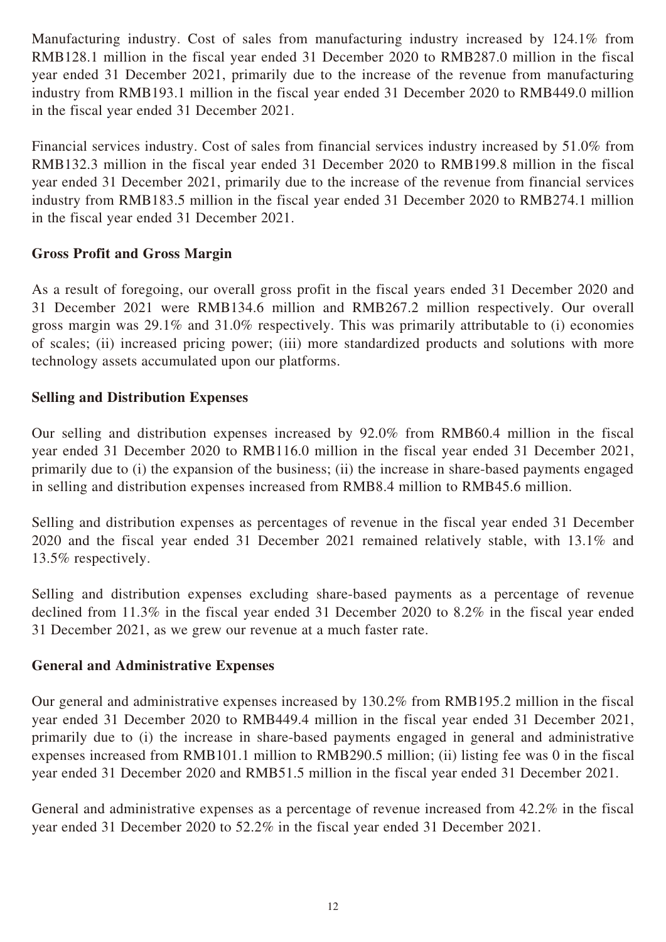Manufacturing industry. Cost of sales from manufacturing industry increased by 124.1% from RMB128.1 million in the fiscal year ended 31 December 2020 to RMB287.0 million in the fiscal year ended 31 December 2021, primarily due to the increase of the revenue from manufacturing industry from RMB193.1 million in the fiscal year ended 31 December 2020 to RMB449.0 million in the fiscal year ended 31 December 2021.

Financial services industry. Cost of sales from financial services industry increased by 51.0% from RMB132.3 million in the fiscal year ended 31 December 2020 to RMB199.8 million in the fiscal year ended 31 December 2021, primarily due to the increase of the revenue from financial services industry from RMB183.5 million in the fiscal year ended 31 December 2020 to RMB274.1 million in the fiscal year ended 31 December 2021.

#### **Gross Profit and Gross Margin**

As a result of foregoing, our overall gross profit in the fiscal years ended 31 December 2020 and 31 December 2021 were RMB134.6 million and RMB267.2 million respectively. Our overall gross margin was 29.1% and 31.0% respectively. This was primarily attributable to (i) economies of scales; (ii) increased pricing power; (iii) more standardized products and solutions with more technology assets accumulated upon our platforms.

#### **Selling and Distribution Expenses**

Our selling and distribution expenses increased by 92.0% from RMB60.4 million in the fiscal year ended 31 December 2020 to RMB116.0 million in the fiscal year ended 31 December 2021, primarily due to (i) the expansion of the business; (ii) the increase in share-based payments engaged in selling and distribution expenses increased from RMB8.4 million to RMB45.6 million.

Selling and distribution expenses as percentages of revenue in the fiscal year ended 31 December 2020 and the fiscal year ended 31 December 2021 remained relatively stable, with 13.1% and 13.5% respectively.

Selling and distribution expenses excluding share-based payments as a percentage of revenue declined from 11.3% in the fiscal year ended 31 December 2020 to 8.2% in the fiscal year ended 31 December 2021, as we grew our revenue at a much faster rate.

#### **General and Administrative Expenses**

Our general and administrative expenses increased by 130.2% from RMB195.2 million in the fiscal year ended 31 December 2020 to RMB449.4 million in the fiscal year ended 31 December 2021, primarily due to (i) the increase in share-based payments engaged in general and administrative expenses increased from RMB101.1 million to RMB290.5 million; (ii) listing fee was 0 in the fiscal year ended 31 December 2020 and RMB51.5 million in the fiscal year ended 31 December 2021.

General and administrative expenses as a percentage of revenue increased from 42.2% in the fiscal year ended 31 December 2020 to 52.2% in the fiscal year ended 31 December 2021.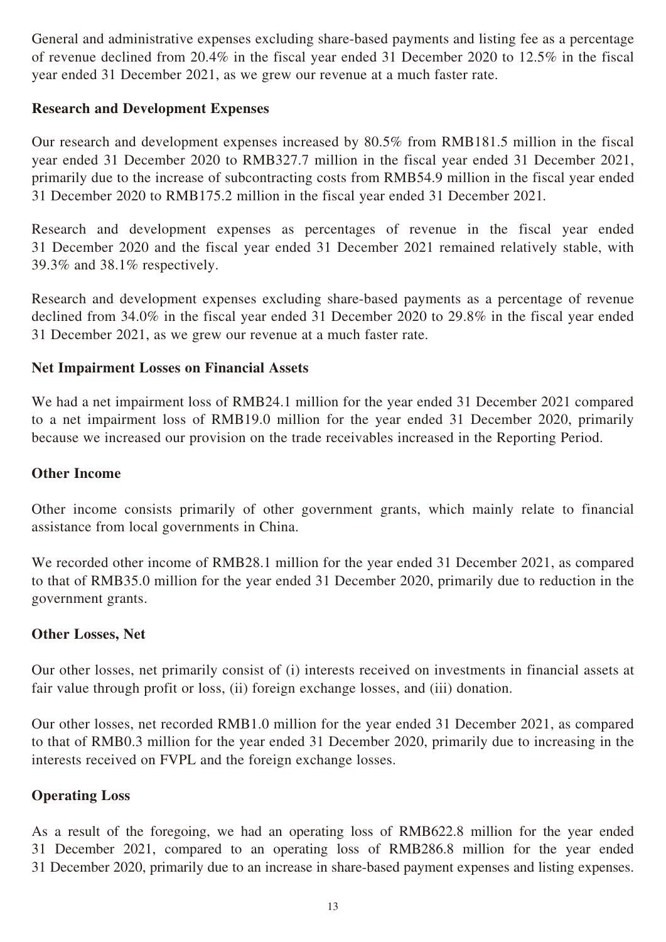General and administrative expenses excluding share-based payments and listing fee as a percentage of revenue declined from 20.4% in the fiscal year ended 31 December 2020 to 12.5% in the fiscal year ended 31 December 2021, as we grew our revenue at a much faster rate.

#### **Research and Development Expenses**

Our research and development expenses increased by 80.5% from RMB181.5 million in the fiscal year ended 31 December 2020 to RMB327.7 million in the fiscal year ended 31 December 2021, primarily due to the increase of subcontracting costs from RMB54.9 million in the fiscal year ended 31 December 2020 to RMB175.2 million in the fiscal year ended 31 December 2021*.*

Research and development expenses as percentages of revenue in the fiscal year ended 31 December 2020 and the fiscal year ended 31 December 2021 remained relatively stable, with 39.3% and 38.1% respectively.

Research and development expenses excluding share-based payments as a percentage of revenue declined from 34.0% in the fiscal year ended 31 December 2020 to 29.8% in the fiscal year ended 31 December 2021, as we grew our revenue at a much faster rate.

#### **Net Impairment Losses on Financial Assets**

We had a net impairment loss of RMB24.1 million for the year ended 31 December 2021 compared to a net impairment loss of RMB19.0 million for the year ended 31 December 2020, primarily because we increased our provision on the trade receivables increased in the Reporting Period.

#### **Other Income**

Other income consists primarily of other government grants, which mainly relate to financial assistance from local governments in China.

We recorded other income of RMB28.1 million for the year ended 31 December 2021, as compared to that of RMB35.0 million for the year ended 31 December 2020, primarily due to reduction in the government grants.

#### **Other Losses, Net**

Our other losses, net primarily consist of (i) interests received on investments in financial assets at fair value through profit or loss, (ii) foreign exchange losses, and (iii) donation.

Our other losses, net recorded RMB1.0 million for the year ended 31 December 2021, as compared to that of RMB0.3 million for the year ended 31 December 2020, primarily due to increasing in the interests received on FVPL and the foreign exchange losses.

#### **Operating Loss**

As a result of the foregoing, we had an operating loss of RMB622.8 million for the year ended 31 December 2021, compared to an operating loss of RMB286.8 million for the year ended 31 December 2020, primarily due to an increase in share-based payment expenses and listing expenses.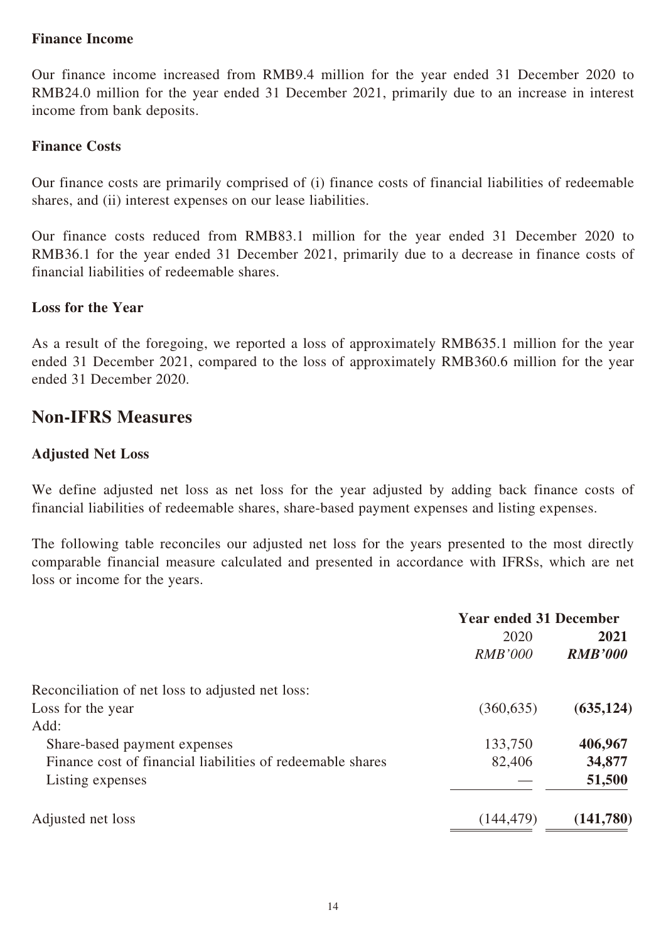#### **Finance Income**

Our finance income increased from RMB9.4 million for the year ended 31 December 2020 to RMB24.0 million for the year ended 31 December 2021, primarily due to an increase in interest income from bank deposits.

#### **Finance Costs**

Our finance costs are primarily comprised of (i) finance costs of financial liabilities of redeemable shares, and (ii) interest expenses on our lease liabilities.

Our finance costs reduced from RMB83.1 million for the year ended 31 December 2020 to RMB36.1 for the year ended 31 December 2021, primarily due to a decrease in finance costs of financial liabilities of redeemable shares.

#### **Loss for the Year**

As a result of the foregoing, we reported a loss of approximately RMB635.1 million for the year ended 31 December 2021, compared to the loss of approximately RMB360.6 million for the year ended 31 December 2020.

## **Non-IFRS Measures**

#### **Adjusted Net Loss**

We define adjusted net loss as net loss for the year adjusted by adding back finance costs of financial liabilities of redeemable shares, share-based payment expenses and listing expenses.

The following table reconciles our adjusted net loss for the years presented to the most directly comparable financial measure calculated and presented in accordance with IFRSs, which are net loss or income for the years.

|                                                            | <b>Year ended 31 December</b> |                |
|------------------------------------------------------------|-------------------------------|----------------|
|                                                            | 2020                          | 2021           |
|                                                            | <b>RMB'000</b>                | <b>RMB'000</b> |
| Reconciliation of net loss to adjusted net loss:           |                               |                |
| Loss for the year                                          | (360, 635)                    | (635, 124)     |
| Add:                                                       |                               |                |
| Share-based payment expenses                               | 133,750                       | 406,967        |
| Finance cost of financial liabilities of redeemable shares | 82,406                        | 34,877         |
| Listing expenses                                           |                               | 51,500         |
| Adjusted net loss                                          | (144, 479)                    | (141,780)      |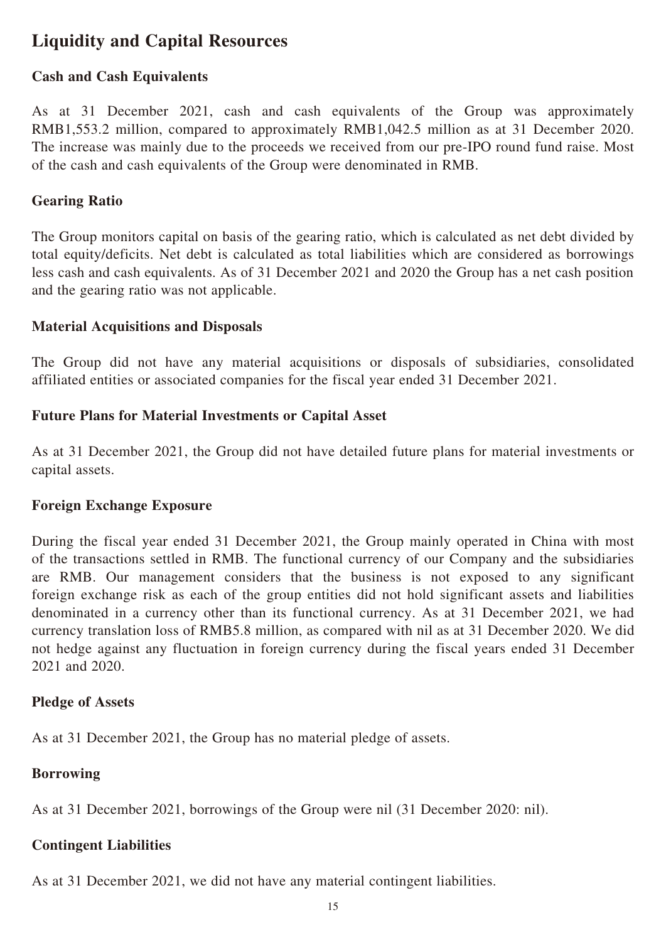# **Liquidity and Capital Resources**

#### **Cash and Cash Equivalents**

As at 31 December 2021, cash and cash equivalents of the Group was approximately RMB1,553.2 million, compared to approximately RMB1,042.5 million as at 31 December 2020. The increase was mainly due to the proceeds we received from our pre-IPO round fund raise. Most of the cash and cash equivalents of the Group were denominated in RMB.

#### **Gearing Ratio**

The Group monitors capital on basis of the gearing ratio, which is calculated as net debt divided by total equity/deficits. Net debt is calculated as total liabilities which are considered as borrowings less cash and cash equivalents. As of 31 December 2021 and 2020 the Group has a net cash position and the gearing ratio was not applicable.

#### **Material Acquisitions and Disposals**

The Group did not have any material acquisitions or disposals of subsidiaries, consolidated affiliated entities or associated companies for the fiscal year ended 31 December 2021.

#### **Future Plans for Material Investments or Capital Asset**

As at 31 December 2021, the Group did not have detailed future plans for material investments or capital assets.

#### **Foreign Exchange Exposure**

During the fiscal year ended 31 December 2021, the Group mainly operated in China with most of the transactions settled in RMB. The functional currency of our Company and the subsidiaries are RMB. Our management considers that the business is not exposed to any significant foreign exchange risk as each of the group entities did not hold significant assets and liabilities denominated in a currency other than its functional currency. As at 31 December 2021, we had currency translation loss of RMB5.8 million, as compared with nil as at 31 December 2020. We did not hedge against any fluctuation in foreign currency during the fiscal years ended 31 December 2021 and 2020.

#### **Pledge of Assets**

As at 31 December 2021, the Group has no material pledge of assets.

#### **Borrowing**

As at 31 December 2021, borrowings of the Group were nil (31 December 2020: nil).

#### **Contingent Liabilities**

As at 31 December 2021, we did not have any material contingent liabilities.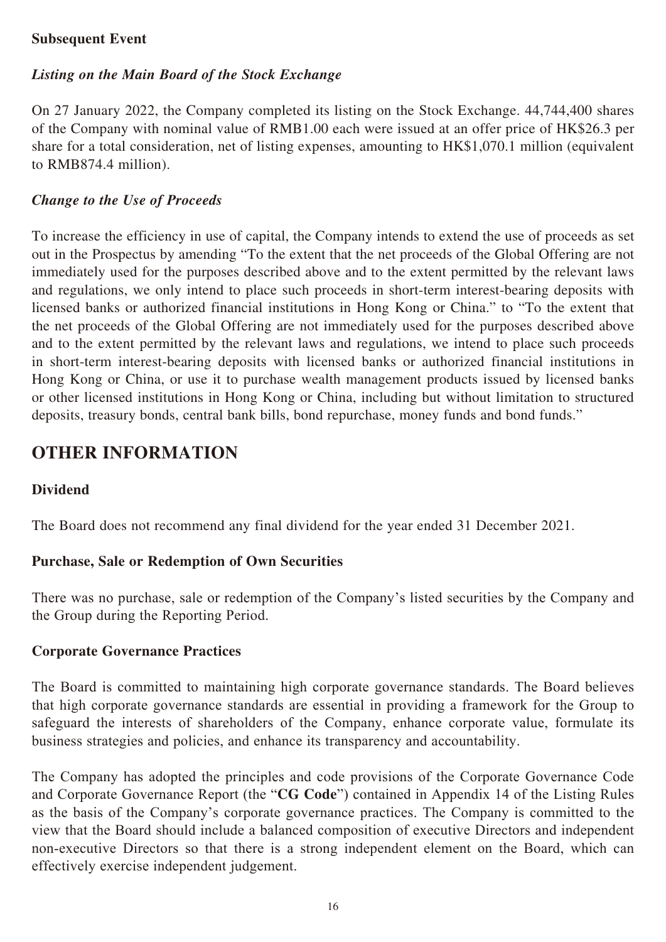#### **Subsequent Event**

#### *Listing on the Main Board of the Stock Exchange*

On 27 January 2022, the Company completed its listing on the Stock Exchange. 44,744,400 shares of the Company with nominal value of RMB1.00 each were issued at an offer price of HK\$26.3 per share for a total consideration, net of listing expenses, amounting to HK\$1,070.1 million (equivalent to RMB874.4 million).

#### *Change to the Use of Proceeds*

To increase the efficiency in use of capital, the Company intends to extend the use of proceeds as set out in the Prospectus by amending "To the extent that the net proceeds of the Global Offering are not immediately used for the purposes described above and to the extent permitted by the relevant laws and regulations, we only intend to place such proceeds in short-term interest-bearing deposits with licensed banks or authorized financial institutions in Hong Kong or China." to "To the extent that the net proceeds of the Global Offering are not immediately used for the purposes described above and to the extent permitted by the relevant laws and regulations, we intend to place such proceeds in short-term interest-bearing deposits with licensed banks or authorized financial institutions in Hong Kong or China, or use it to purchase wealth management products issued by licensed banks or other licensed institutions in Hong Kong or China, including but without limitation to structured deposits, treasury bonds, central bank bills, bond repurchase, money funds and bond funds."

## **OTHER INFORMATION**

## **Dividend**

The Board does not recommend any final dividend for the year ended 31 December 2021.

#### **Purchase, Sale or Redemption of Own Securities**

There was no purchase, sale or redemption of the Company's listed securities by the Company and the Group during the Reporting Period.

#### **Corporate Governance Practices**

The Board is committed to maintaining high corporate governance standards. The Board believes that high corporate governance standards are essential in providing a framework for the Group to safeguard the interests of shareholders of the Company, enhance corporate value, formulate its business strategies and policies, and enhance its transparency and accountability.

The Company has adopted the principles and code provisions of the Corporate Governance Code and Corporate Governance Report (the "**CG Code**") contained in Appendix 14 of the Listing Rules as the basis of the Company's corporate governance practices. The Company is committed to the view that the Board should include a balanced composition of executive Directors and independent non-executive Directors so that there is a strong independent element on the Board, which can effectively exercise independent judgement.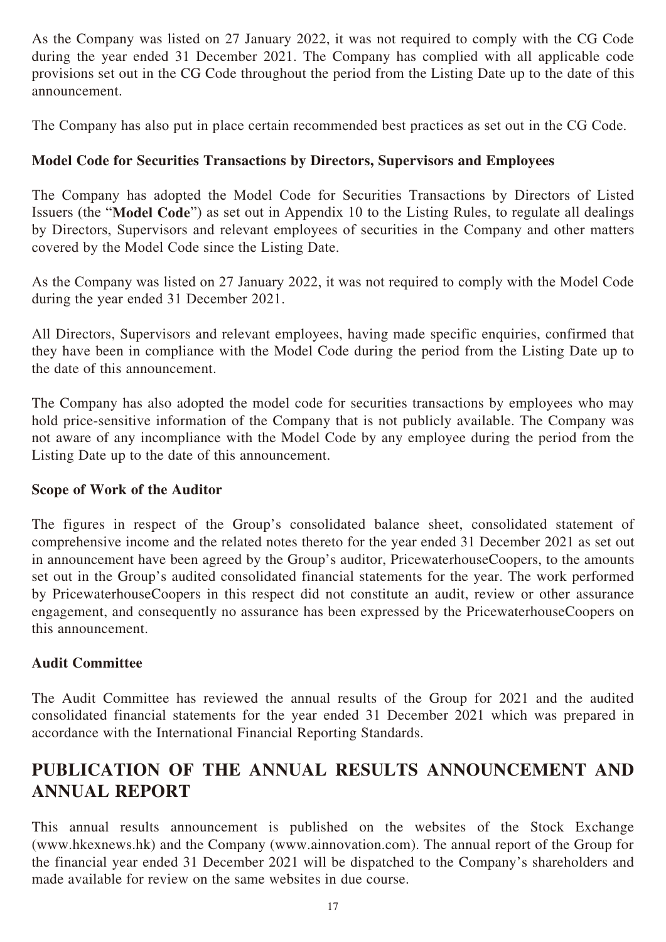As the Company was listed on 27 January 2022, it was not required to comply with the CG Code during the year ended 31 December 2021. The Company has complied with all applicable code provisions set out in the CG Code throughout the period from the Listing Date up to the date of this announcement.

The Company has also put in place certain recommended best practices as set out in the CG Code.

## **Model Code for Securities Transactions by Directors, Supervisors and Employees**

The Company has adopted the Model Code for Securities Transactions by Directors of Listed Issuers (the "**Model Code**") as set out in Appendix 10 to the Listing Rules, to regulate all dealings by Directors, Supervisors and relevant employees of securities in the Company and other matters covered by the Model Code since the Listing Date.

As the Company was listed on 27 January 2022, it was not required to comply with the Model Code during the year ended 31 December 2021.

All Directors, Supervisors and relevant employees, having made specific enquiries, confirmed that they have been in compliance with the Model Code during the period from the Listing Date up to the date of this announcement.

The Company has also adopted the model code for securities transactions by employees who may hold price-sensitive information of the Company that is not publicly available. The Company was not aware of any incompliance with the Model Code by any employee during the period from the Listing Date up to the date of this announcement.

## **Scope of Work of the Auditor**

The figures in respect of the Group's consolidated balance sheet, consolidated statement of comprehensive income and the related notes thereto for the year ended 31 December 2021 as set out in announcement have been agreed by the Group's auditor, PricewaterhouseCoopers, to the amounts set out in the Group's audited consolidated financial statements for the year. The work performed by PricewaterhouseCoopers in this respect did not constitute an audit, review or other assurance engagement, and consequently no assurance has been expressed by the PricewaterhouseCoopers on this announcement.

## **Audit Committee**

The Audit Committee has reviewed the annual results of the Group for 2021 and the audited consolidated financial statements for the year ended 31 December 2021 which was prepared in accordance with the International Financial Reporting Standards.

# **PUBLICATION OF THE ANNUAL RESULTS ANNOUNCEMENT AND ANNUAL REPORT**

This annual results announcement is published on the websites of the Stock Exchange (www.hkexnews.hk) and the Company (www.ainnovation.com). The annual report of the Group for the financial year ended 31 December 2021 will be dispatched to the Company's shareholders and made available for review on the same websites in due course.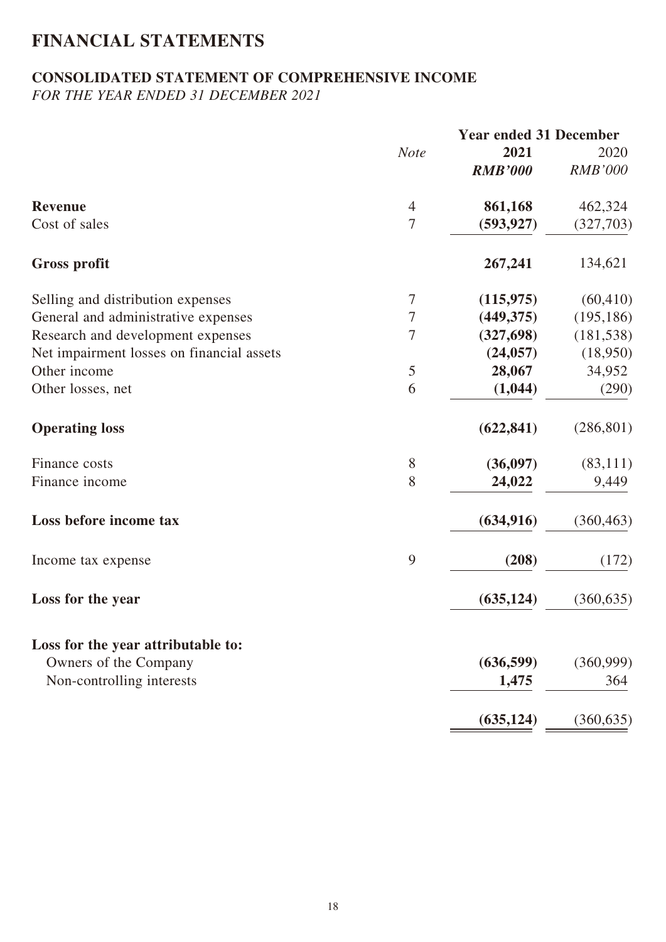# **FINANCIAL STATEMENTS**

## **CONSOLIDATED STATEMENT OF COMPREHENSIVE INCOME**

*FOR THE YEAR ENDED 31 DECEMBER 2021*

|                                           | <b>Year ended 31 December</b> |                |                |  |  |
|-------------------------------------------|-------------------------------|----------------|----------------|--|--|
|                                           | <b>Note</b>                   | 2021           | 2020           |  |  |
|                                           |                               | <b>RMB'000</b> | <b>RMB'000</b> |  |  |
| <b>Revenue</b>                            | $\overline{4}$                | 861,168        | 462,324        |  |  |
| Cost of sales                             | $\overline{7}$                | (593, 927)     | (327,703)      |  |  |
| <b>Gross profit</b>                       |                               | 267,241        | 134,621        |  |  |
| Selling and distribution expenses         | 7                             | (115, 975)     | (60, 410)      |  |  |
| General and administrative expenses       | 7                             | (449, 375)     | (195, 186)     |  |  |
| Research and development expenses         | $\overline{7}$                | (327, 698)     | (181, 538)     |  |  |
| Net impairment losses on financial assets |                               | (24, 057)      | (18,950)       |  |  |
| Other income                              | 5                             | 28,067         | 34,952         |  |  |
| Other losses, net                         | 6                             | (1,044)        | (290)          |  |  |
| <b>Operating loss</b>                     |                               | (622, 841)     | (286, 801)     |  |  |
| Finance costs                             | 8                             | (36,097)       | (83, 111)      |  |  |
| Finance income                            | 8                             | 24,022         | 9,449          |  |  |
| Loss before income tax                    |                               | (634, 916)     | (360, 463)     |  |  |
| Income tax expense                        | 9                             | (208)          | (172)          |  |  |
| Loss for the year                         |                               | (635, 124)     | (360, 635)     |  |  |
| Loss for the year attributable to:        |                               |                |                |  |  |
| Owners of the Company                     |                               | (636, 599)     | (360,999)      |  |  |
| Non-controlling interests                 |                               | 1,475          | 364            |  |  |
|                                           |                               | (635, 124)     | (360, 635)     |  |  |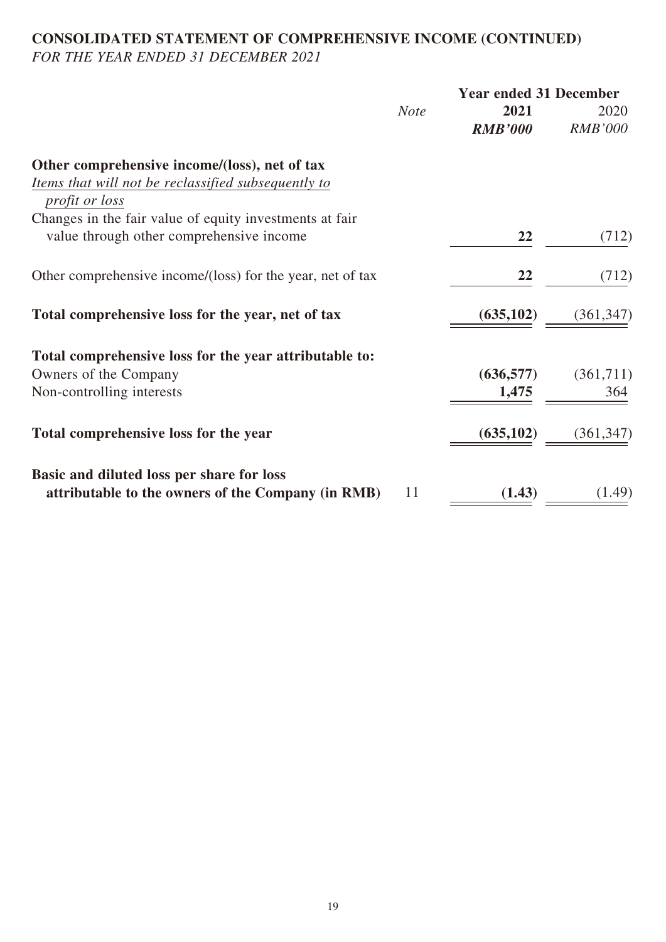## **CONSOLIDATED STATEMENT OF COMPREHENSIVE INCOME (CONTINUED)** *FOR THE YEAR ENDED 31 DECEMBER 2021*

|                                                                              |             | <b>Year ended 31 December</b> |                        |  |  |
|------------------------------------------------------------------------------|-------------|-------------------------------|------------------------|--|--|
|                                                                              | <b>Note</b> | 2021<br><b>RMB'000</b>        | 2020<br><b>RMB'000</b> |  |  |
| Other comprehensive income/(loss), net of tax                                |             |                               |                        |  |  |
| Items that will not be reclassified subsequently to<br><i>profit or loss</i> |             |                               |                        |  |  |
| Changes in the fair value of equity investments at fair                      |             |                               |                        |  |  |
| value through other comprehensive income                                     |             | 22                            | (712)                  |  |  |
| Other comprehensive income/(loss) for the year, net of tax                   |             | 22                            | (712)                  |  |  |
| Total comprehensive loss for the year, net of tax                            |             | (635, 102)                    | (361, 347)             |  |  |
| Total comprehensive loss for the year attributable to:                       |             |                               |                        |  |  |
| Owners of the Company                                                        |             | (636, 577)                    | (361,711)              |  |  |
| Non-controlling interests                                                    |             | 1,475                         | 364                    |  |  |
| Total comprehensive loss for the year                                        |             | (635, 102)                    | (361, 347)             |  |  |
| Basic and diluted loss per share for loss                                    |             |                               |                        |  |  |
| attributable to the owners of the Company (in RMB)                           | 11          | (1.43)                        | (1.49)                 |  |  |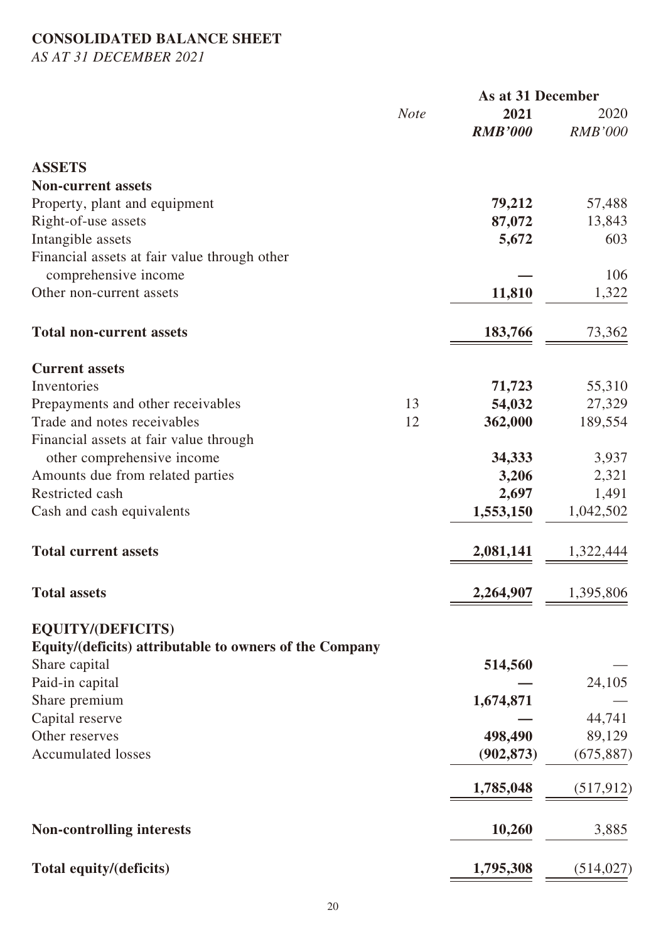## **CONSOLIDATED BALANCE SHEET**

*AS AT 31 DECEMBER 2021*

|                                                                                     |             | As at 31 December |                |
|-------------------------------------------------------------------------------------|-------------|-------------------|----------------|
|                                                                                     | <b>Note</b> | 2021              | 2020           |
|                                                                                     |             | <b>RMB'000</b>    | <b>RMB'000</b> |
| <b>ASSETS</b>                                                                       |             |                   |                |
| <b>Non-current assets</b>                                                           |             |                   |                |
| Property, plant and equipment                                                       |             | 79,212            | 57,488         |
| Right-of-use assets                                                                 |             | 87,072            | 13,843         |
| Intangible assets                                                                   |             | 5,672             | 603            |
| Financial assets at fair value through other                                        |             |                   |                |
| comprehensive income                                                                |             |                   | 106            |
| Other non-current assets                                                            |             | 11,810            | 1,322          |
|                                                                                     |             |                   |                |
| <b>Total non-current assets</b>                                                     |             | 183,766           | 73,362         |
| <b>Current assets</b>                                                               |             |                   |                |
| Inventories                                                                         |             | 71,723            | 55,310         |
| Prepayments and other receivables                                                   | 13          | 54,032            | 27,329         |
| Trade and notes receivables                                                         | 12          | 362,000           | 189,554        |
| Financial assets at fair value through                                              |             |                   |                |
| other comprehensive income                                                          |             | 34,333            | 3,937          |
| Amounts due from related parties                                                    |             | 3,206             | 2,321          |
| Restricted cash                                                                     |             | 2,697             | 1,491          |
| Cash and cash equivalents                                                           |             | 1,553,150         | 1,042,502      |
|                                                                                     |             |                   |                |
| <b>Total current assets</b>                                                         |             | 2,081,141         | 1,322,444      |
| <b>Total assets</b>                                                                 |             | 2,264,907         | 1,395,806      |
|                                                                                     |             |                   |                |
| <b>EQUITY/(DEFICITS)</b><br>Equity/(deficits) attributable to owners of the Company |             |                   |                |
| Share capital                                                                       |             | 514,560           |                |
| Paid-in capital                                                                     |             |                   | 24,105         |
| Share premium                                                                       |             | 1,674,871         |                |
| Capital reserve                                                                     |             |                   | 44,741         |
| Other reserves                                                                      |             | 498,490           | 89,129         |
| <b>Accumulated losses</b>                                                           |             | (902, 873)        | (675, 887)     |
|                                                                                     |             |                   |                |
|                                                                                     |             | 1,785,048         | (517, 912)     |
| <b>Non-controlling interests</b>                                                    |             | 10,260            | 3,885          |
| Total equity/(deficits)                                                             |             | 1,795,308         | (514, 027)     |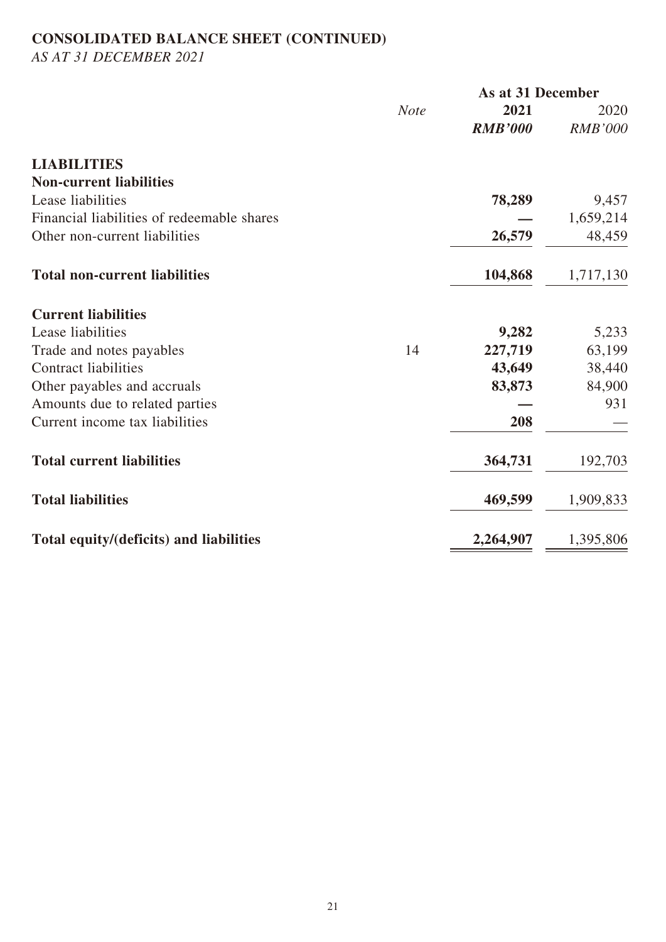# **CONSOLIDATED BALANCE SHEET (CONTINUED)**

*AS AT 31 DECEMBER 2021*

|                                            |             | As at 31 December |                |  |
|--------------------------------------------|-------------|-------------------|----------------|--|
|                                            | <b>Note</b> | 2021              | 2020           |  |
|                                            |             | <b>RMB'000</b>    | <b>RMB'000</b> |  |
| <b>LIABILITIES</b>                         |             |                   |                |  |
| <b>Non-current liabilities</b>             |             |                   |                |  |
| Lease liabilities                          |             | 78,289            | 9,457          |  |
| Financial liabilities of redeemable shares |             |                   | 1,659,214      |  |
| Other non-current liabilities              |             | 26,579            | 48,459         |  |
| <b>Total non-current liabilities</b>       |             | 104,868           | 1,717,130      |  |
| <b>Current liabilities</b>                 |             |                   |                |  |
| Lease liabilities                          |             | 9,282             | 5,233          |  |
| Trade and notes payables                   | 14          | 227,719           | 63,199         |  |
| <b>Contract liabilities</b>                |             | 43,649            | 38,440         |  |
| Other payables and accruals                |             | 83,873            | 84,900         |  |
| Amounts due to related parties             |             |                   | 931            |  |
| Current income tax liabilities             |             | 208               |                |  |
| <b>Total current liabilities</b>           |             | 364,731           | 192,703        |  |
| <b>Total liabilities</b>                   |             | 469,599           | 1,909,833      |  |
| Total equity/(deficits) and liabilities    |             | 2,264,907         | 1,395,806      |  |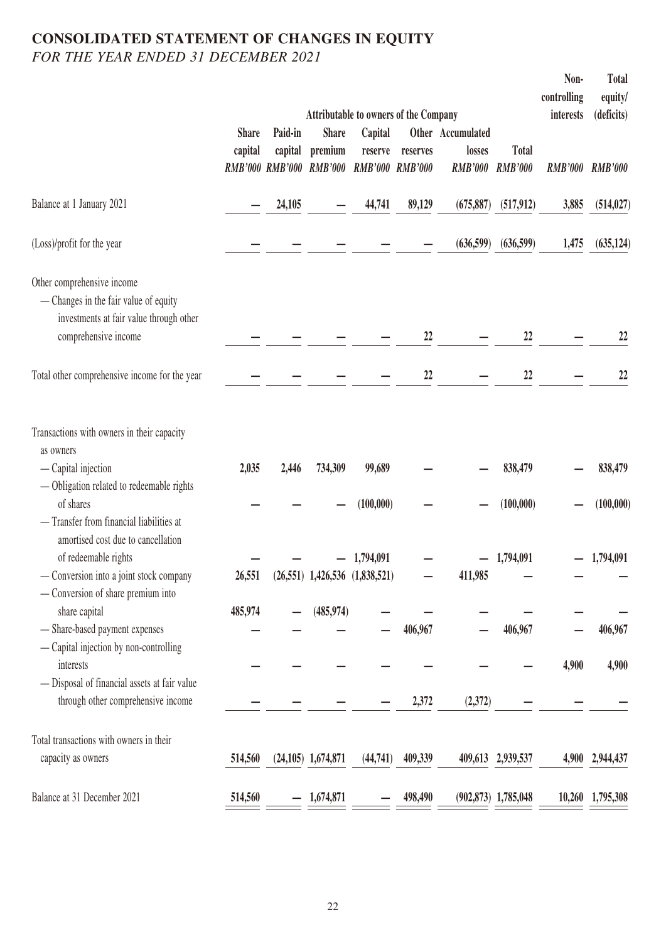## **CONSOLIDATED STATEMENT OF CHANGES IN EQUITY** *FOR THE YEAR ENDED 31 DECEMBER 2021*

|                                                                                                                                                                                                      |                         |                                              |                                           |                                                                 |                                    |                                               |                                | Non-<br>controlling | Total<br>equity/       |
|------------------------------------------------------------------------------------------------------------------------------------------------------------------------------------------------------|-------------------------|----------------------------------------------|-------------------------------------------|-----------------------------------------------------------------|------------------------------------|-----------------------------------------------|--------------------------------|---------------------|------------------------|
|                                                                                                                                                                                                      |                         |                                              |                                           | <b>Attributable to owners of the Company</b>                    |                                    |                                               |                                | interests           | (deficits)             |
|                                                                                                                                                                                                      | <b>Share</b><br>capital | Paid-in<br>capital<br><b>RMB'000 RMB'000</b> | <b>Share</b><br>premium<br><b>RMB'000</b> | Capital<br>reserve                                              | reserves<br><b>RMB'000 RMB'000</b> | Other Accumulated<br>losses<br><b>RMB'000</b> | <b>Total</b><br><b>RMB'000</b> | <b>RMB'000</b>      | <b>RMB'000</b>         |
| Balance at 1 January 2021                                                                                                                                                                            |                         | 24,105                                       |                                           | 44,741                                                          | 89,129                             | (675, 887)                                    | (517, 912)                     | 3,885               | (514, 027)             |
| (Loss)/profit for the year                                                                                                                                                                           |                         |                                              |                                           |                                                                 |                                    | (636,599)                                     | (636,599)                      | 1,475               | (635, 124)             |
| Other comprehensive income<br>— Changes in the fair value of equity<br>investments at fair value through other<br>comprehensive income                                                               |                         |                                              |                                           |                                                                 | 22                                 |                                               | 22                             |                     | 22                     |
| Total other comprehensive income for the year                                                                                                                                                        |                         |                                              |                                           |                                                                 | 22                                 |                                               | 22                             |                     | 22                     |
| Transactions with owners in their capacity<br>as owners<br>— Capital injection<br>- Obligation related to redeemable rights                                                                          | 2,035                   | 2,446                                        | 734,309                                   | 99,689                                                          |                                    |                                               | 838,479                        |                     | 838,479                |
| of shares<br>- Transfer from financial liabilities at<br>amortised cost due to cancellation<br>of redeemable rights<br>- Conversion into a joint stock company<br>- Conversion of share premium into | 26,551                  |                                              |                                           | (100,000)<br>$-1,794,091$<br>$(26,551)$ 1,426,536 $(1,838,521)$ |                                    | 411,985                                       | (100,000)<br>$-1,794,091$      |                     | (100,000)<br>1,794,091 |
| share capital<br>- Share-based payment expenses<br>- Capital injection by non-controlling                                                                                                            | 485,974                 |                                              | (485, 974)                                |                                                                 | 406,967                            |                                               | 406,967                        |                     | 406,967                |
| interests<br>- Disposal of financial assets at fair value<br>through other comprehensive income                                                                                                      |                         |                                              |                                           |                                                                 | 2,372                              | (2,372)                                       |                                | 4,900               | 4,900                  |
| Total transactions with owners in their<br>capacity as owners                                                                                                                                        | 514,560                 |                                              | $(24, 105)$ 1, 674, 871                   | (44, 741)                                                       | 409,339                            |                                               | 409,613 2,939,537              | 4,900               | 2,944,437              |
| Balance at 31 December 2021                                                                                                                                                                          | 514,560                 |                                              | 1,674,871                                 |                                                                 | 498,490                            |                                               | $(902, 873)$ 1,785,048         | 10,260              | 1,795,308              |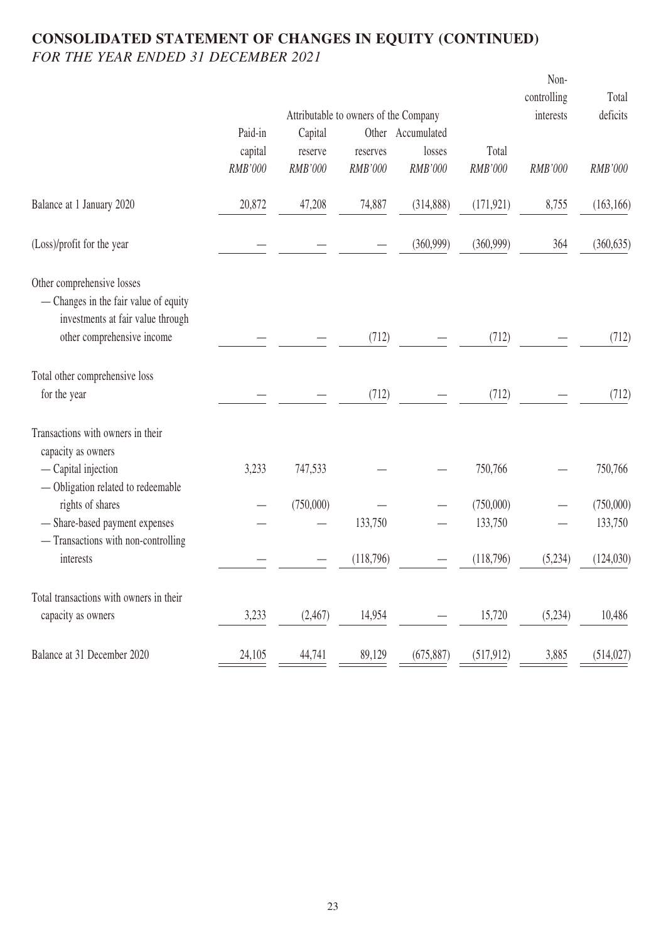## **CONSOLIDATED STATEMENT OF CHANGES IN EQUITY (CONTINUED)** *FOR THE YEAR ENDED 31 DECEMBER 2021*

|                                                  |         |                                       |           |                   |            | Non-<br>controlling | Total      |
|--------------------------------------------------|---------|---------------------------------------|-----------|-------------------|------------|---------------------|------------|
|                                                  |         | Attributable to owners of the Company |           |                   |            | interests           | deficits   |
|                                                  | Paid-in | Capital                               |           | Other Accumulated |            |                     |            |
|                                                  | capital | reserve                               | reserves  | losses            | Total      |                     |            |
|                                                  | RMB'000 | RMB'000                               | RMB'000   | RMB'000           | RMB'000    | RMB'000             | RMB'000    |
| Balance at 1 January 2020                        | 20,872  | 47,208                                | 74,887    | (314, 888)        | (171, 921) | 8,755               | (163, 166) |
| (Loss)/profit for the year                       |         |                                       |           | (360, 999)        | (360, 999) | 364                 | (360, 635) |
| Other comprehensive losses                       |         |                                       |           |                   |            |                     |            |
| - Changes in the fair value of equity            |         |                                       |           |                   |            |                     |            |
| investments at fair value through                |         |                                       |           |                   |            |                     |            |
| other comprehensive income                       |         |                                       | (712)     |                   | (712)      |                     | (712)      |
| Total other comprehensive loss                   |         |                                       |           |                   |            |                     |            |
| for the year                                     |         |                                       | (712)     |                   | (712)      |                     | (712)      |
| Transactions with owners in their                |         |                                       |           |                   |            |                     |            |
| capacity as owners                               |         |                                       |           |                   |            |                     |            |
| - Capital injection                              | 3,233   | 747,533                               |           |                   | 750,766    |                     | 750,766    |
| - Obligation related to redeemable               |         |                                       |           |                   |            |                     |            |
| rights of shares                                 |         | (750,000)                             |           |                   | (750,000)  |                     | (750,000)  |
| - Share-based payment expenses                   |         |                                       | 133,750   |                   | 133,750    |                     | 133,750    |
| - Transactions with non-controlling<br>interests |         |                                       |           |                   |            |                     |            |
|                                                  |         |                                       | (118,796) |                   | (118,796)  | (5,234)             | (124,030)  |
| Total transactions with owners in their          |         |                                       |           |                   |            |                     |            |
| capacity as owners                               | 3,233   | (2,467)                               | 14,954    |                   | 15,720     | (5,234)             | 10,486     |
| Balance at 31 December 2020                      | 24,105  | 44,741                                | 89,129    | (675, 887)        | (517, 912) | 3,885               | (514, 027) |
|                                                  |         |                                       |           |                   |            |                     |            |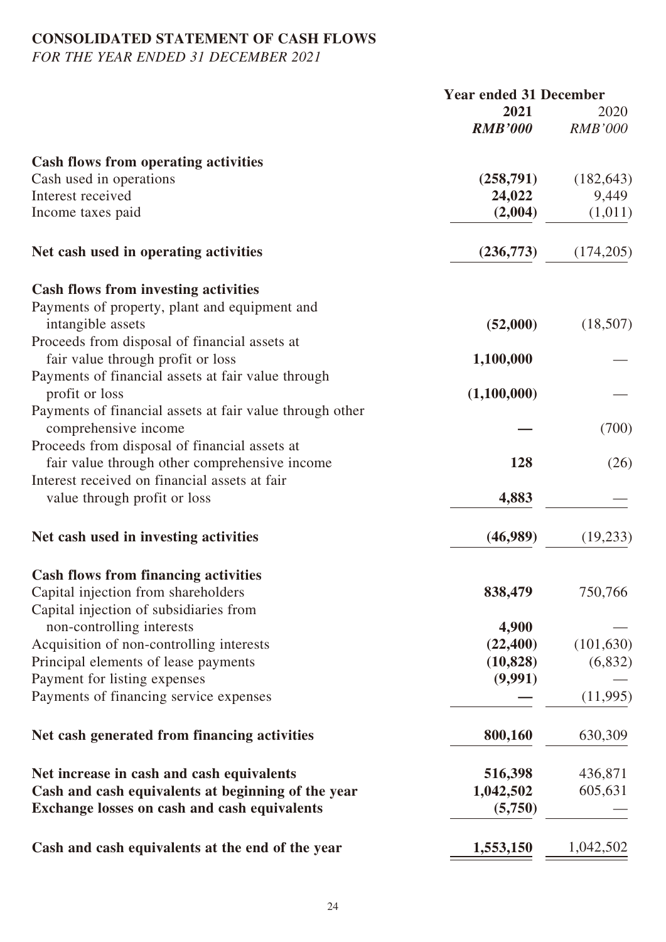# **CONSOLIDATED STATEMENT OF CASH FLOWS**

*FOR THE YEAR ENDED 31 DECEMBER 2021*

|                                                          | <b>Year ended 31 December</b> |                |
|----------------------------------------------------------|-------------------------------|----------------|
|                                                          | 2021                          | 2020           |
|                                                          | <b>RMB'000</b>                | <b>RMB'000</b> |
| <b>Cash flows from operating activities</b>              |                               |                |
| Cash used in operations                                  | (258,791)                     | (182, 643)     |
| Interest received                                        | 24,022                        | 9,449          |
| Income taxes paid                                        | (2,004)                       | (1,011)        |
| Net cash used in operating activities                    | (236,773)                     | (174,205)      |
| <b>Cash flows from investing activities</b>              |                               |                |
| Payments of property, plant and equipment and            |                               |                |
| intangible assets                                        | (52,000)                      | (18,507)       |
| Proceeds from disposal of financial assets at            |                               |                |
| fair value through profit or loss                        | 1,100,000                     |                |
| Payments of financial assets at fair value through       |                               |                |
| profit or loss                                           | (1,100,000)                   |                |
| Payments of financial assets at fair value through other |                               |                |
| comprehensive income                                     |                               | (700)          |
| Proceeds from disposal of financial assets at            |                               |                |
| fair value through other comprehensive income            | 128                           | (26)           |
| Interest received on financial assets at fair            |                               |                |
| value through profit or loss                             | 4,883                         |                |
| Net cash used in investing activities                    | (46,989)                      | (19, 233)      |
| <b>Cash flows from financing activities</b>              |                               |                |
| Capital injection from shareholders                      | 838,479                       | 750,766        |
| Capital injection of subsidiaries from                   |                               |                |
| non-controlling interests                                | 4,900                         |                |
| Acquisition of non-controlling interests                 | (22, 400)                     | (101, 630)     |
| Principal elements of lease payments                     | (10, 828)                     | (6,832)        |
| Payment for listing expenses                             | (9,991)                       |                |
| Payments of financing service expenses                   |                               | (11,995)       |
| Net cash generated from financing activities             | 800,160                       | 630,309        |
| Net increase in cash and cash equivalents                | 516,398                       | 436,871        |
| Cash and cash equivalents at beginning of the year       | 1,042,502                     | 605,631        |
| <b>Exchange losses on cash and cash equivalents</b>      | (5,750)                       |                |
| Cash and cash equivalents at the end of the year         | 1,553,150                     | 1,042,502      |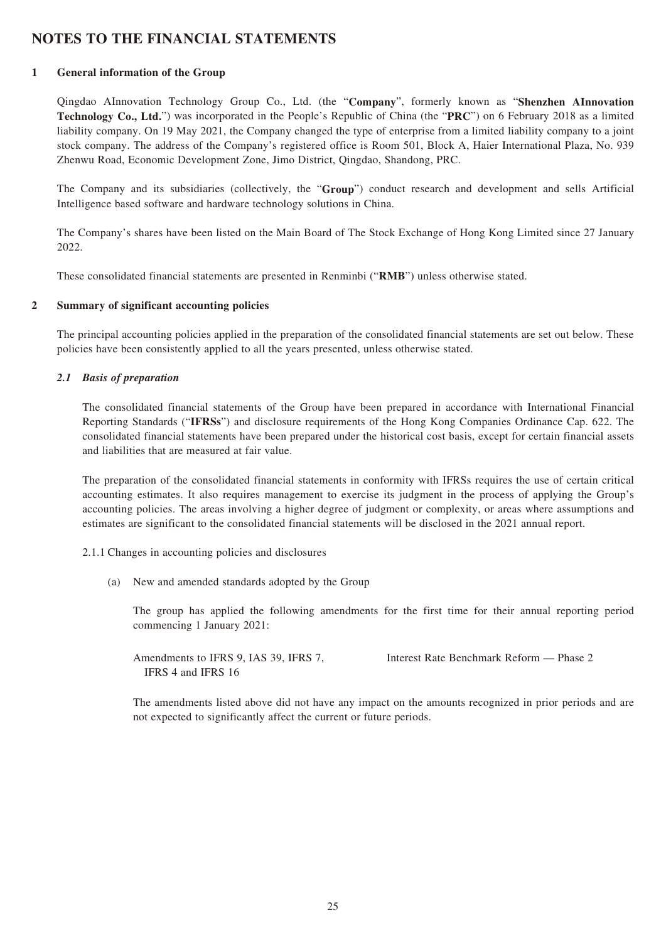## **NOTES TO THE FINANCIAL STATEMENTS**

#### **1 General information of the Group**

Qingdao AInnovation Technology Group Co., Ltd. (the "**Company**", formerly known as "**Shenzhen AInnovation Technology Co., Ltd.**") was incorporated in the People's Republic of China (the "**PRC**") on 6 February 2018 as a limited liability company. On 19 May 2021, the Company changed the type of enterprise from a limited liability company to a joint stock company. The address of the Company's registered office is Room 501, Block A, Haier International Plaza, No. 939 Zhenwu Road, Economic Development Zone, Jimo District, Qingdao, Shandong, PRC.

The Company and its subsidiaries (collectively, the "**Group**") conduct research and development and sells Artificial Intelligence based software and hardware technology solutions in China.

The Company's shares have been listed on the Main Board of The Stock Exchange of Hong Kong Limited since 27 January 2022.

These consolidated financial statements are presented in Renminbi ("**RMB**") unless otherwise stated.

#### **2 Summary of significant accounting policies**

The principal accounting policies applied in the preparation of the consolidated financial statements are set out below. These policies have been consistently applied to all the years presented, unless otherwise stated.

#### *2.1 Basis of preparation*

The consolidated financial statements of the Group have been prepared in accordance with International Financial Reporting Standards ("**IFRSs**") and disclosure requirements of the Hong Kong Companies Ordinance Cap. 622. The consolidated financial statements have been prepared under the historical cost basis, except for certain financial assets and liabilities that are measured at fair value.

The preparation of the consolidated financial statements in conformity with IFRSs requires the use of certain critical accounting estimates. It also requires management to exercise its judgment in the process of applying the Group's accounting policies. The areas involving a higher degree of judgment or complexity, or areas where assumptions and estimates are significant to the consolidated financial statements will be disclosed in the 2021 annual report.

- 2.1.1 Changes in accounting policies and disclosures
	- (a) New and amended standards adopted by the Group

The group has applied the following amendments for the first time for their annual reporting period commencing 1 January 2021:

Amendments to IFRS 9, IAS 39, IFRS 7, IFRS 4 and IFRS 16

Interest Rate Benchmark Reform — Phase 2

The amendments listed above did not have any impact on the amounts recognized in prior periods and are not expected to significantly affect the current or future periods.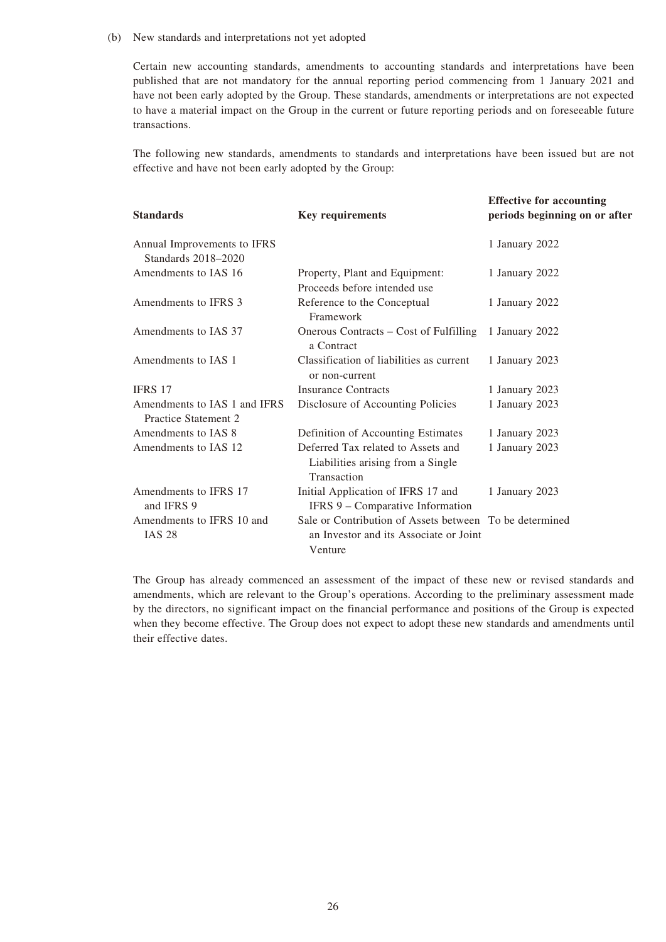#### (b) New standards and interpretations not yet adopted

Certain new accounting standards, amendments to accounting standards and interpretations have been published that are not mandatory for the annual reporting period commencing from 1 January 2021 and have not been early adopted by the Group. These standards, amendments or interpretations are not expected to have a material impact on the Group in the current or future reporting periods and on foreseeable future transactions.

The following new standards, amendments to standards and interpretations have been issued but are not effective and have not been early adopted by the Group:

| <b>Standards</b>                                     | <b>Key requirements</b>                                                                                      | <b>Effective for accounting</b><br>periods beginning on or after |
|------------------------------------------------------|--------------------------------------------------------------------------------------------------------------|------------------------------------------------------------------|
| Annual Improvements to IFRS<br>Standards 2018-2020   |                                                                                                              | 1 January 2022                                                   |
| Amendments to IAS 16                                 | Property, Plant and Equipment:<br>Proceeds before intended use                                               | 1 January 2022                                                   |
| Amendments to IFRS 3                                 | Reference to the Conceptual<br>Framework                                                                     | 1 January 2022                                                   |
| Amendments to IAS 37                                 | Onerous Contracts – Cost of Fulfilling<br>a Contract                                                         | 1 January 2022                                                   |
| Amendments to IAS 1                                  | Classification of liabilities as current<br>or non-current                                                   | 1 January 2023                                                   |
| <b>IFRS 17</b>                                       | <b>Insurance Contracts</b>                                                                                   | 1 January 2023                                                   |
| Amendments to IAS 1 and IFRS<br>Practice Statement 2 | Disclosure of Accounting Policies                                                                            | 1 January 2023                                                   |
| Amendments to IAS 8                                  | Definition of Accounting Estimates                                                                           | 1 January 2023                                                   |
| Amendments to IAS 12                                 | Deferred Tax related to Assets and<br>Liabilities arising from a Single<br>Transaction                       | 1 January 2023                                                   |
| Amendments to IFRS 17<br>and IFRS 9                  | Initial Application of IFRS 17 and<br>IFRS 9 - Comparative Information                                       | 1 January 2023                                                   |
| Amendments to IFRS 10 and<br><b>IAS 28</b>           | Sale or Contribution of Assets between To be determined<br>an Investor and its Associate or Joint<br>Venture |                                                                  |

The Group has already commenced an assessment of the impact of these new or revised standards and amendments, which are relevant to the Group's operations. According to the preliminary assessment made by the directors, no significant impact on the financial performance and positions of the Group is expected when they become effective. The Group does not expect to adopt these new standards and amendments until their effective dates.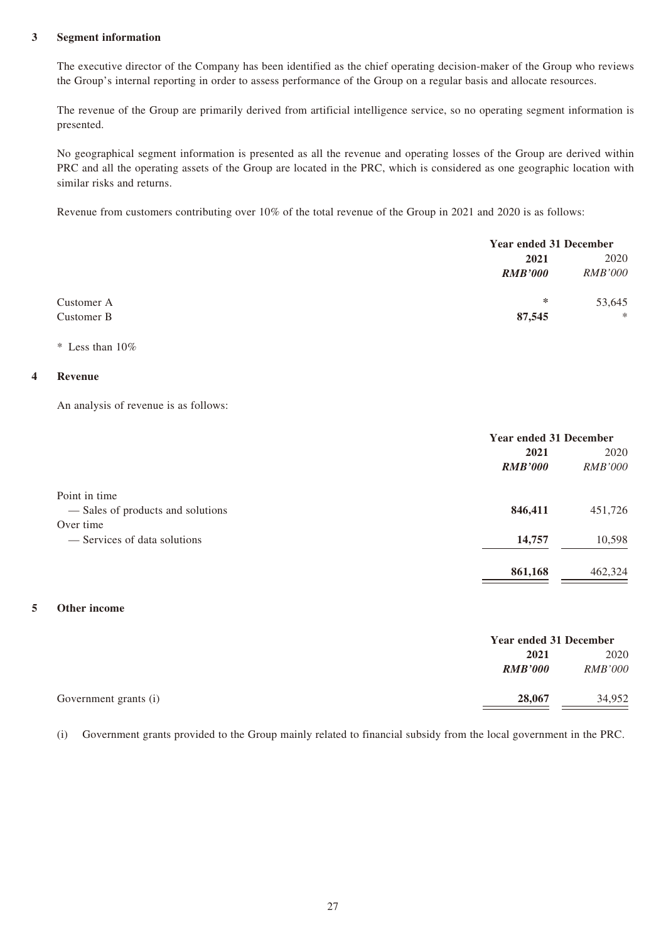#### **3 Segment information**

The executive director of the Company has been identified as the chief operating decision-maker of the Group who reviews the Group's internal reporting in order to assess performance of the Group on a regular basis and allocate resources.

The revenue of the Group are primarily derived from artificial intelligence service, so no operating segment information is presented.

No geographical segment information is presented as all the revenue and operating losses of the Group are derived within PRC and all the operating assets of the Group are located in the PRC, which is considered as one geographic location with similar risks and returns.

Revenue from customers contributing over 10% of the total revenue of the Group in 2021 and 2020 is as follows:

|            |                | <b>Year ended 31 December</b> |  |
|------------|----------------|-------------------------------|--|
|            | 2021           | 2020                          |  |
|            | <b>RMB'000</b> | <i>RMB'000</i>                |  |
| Customer A | ∗              | 53,645                        |  |
| Customer B | 87,545         | $\ast$                        |  |

\* Less than 10%

#### **4 Revenue**

An analysis of revenue is as follows:

|                                  | <b>Year ended 31 December</b> |                |
|----------------------------------|-------------------------------|----------------|
|                                  | 2021                          | 2020           |
|                                  | <b>RMB'000</b>                | <b>RMB'000</b> |
| Point in time                    |                               |                |
| -Sales of products and solutions | 846,411                       | 451,726        |
| Over time                        |                               |                |
| — Services of data solutions     | 14,757                        | 10,598         |
|                                  | 861,168                       | 462,324        |

#### **5 Other income**

|                                 | <b>Year ended 31 December</b> |                |
|---------------------------------|-------------------------------|----------------|
|                                 | 2021                          | 2020           |
| <b>RMB'000</b>                  |                               | <i>RMB'000</i> |
| 28,067<br>Government grants (i) |                               | 34,952         |

(i) Government grants provided to the Group mainly related to financial subsidy from the local government in the PRC.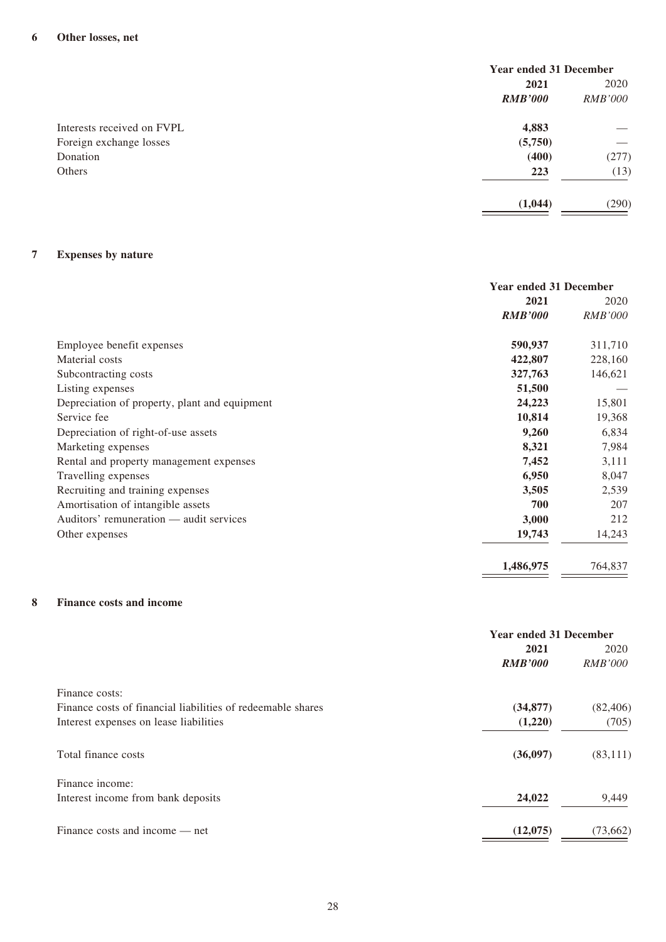|                            | <b>Year ended 31 December</b> |                |
|----------------------------|-------------------------------|----------------|
|                            | 2021                          | 2020           |
|                            | <b>RMB'000</b>                | <i>RMB'000</i> |
| Interests received on FVPL | 4,883                         |                |
| Foreign exchange losses    | (5,750)                       |                |
| Donation                   | (400)                         | (277)          |
| Others                     | 223                           | (13)           |
|                            | (1,044)                       | (290)          |

#### **7 Expenses by nature**

|                                               | <b>Year ended 31 December</b> |                |
|-----------------------------------------------|-------------------------------|----------------|
|                                               | 2021                          | 2020           |
|                                               | <b>RMB'000</b>                | <b>RMB'000</b> |
| Employee benefit expenses                     | 590,937                       | 311,710        |
| Material costs                                | 422,807                       | 228,160        |
| Subcontracting costs                          | 327,763                       | 146,621        |
| Listing expenses                              | 51,500                        |                |
| Depreciation of property, plant and equipment | 24,223                        | 15,801         |
| Service fee                                   | 10,814                        | 19,368         |
| Depreciation of right-of-use assets           | 9,260                         | 6,834          |
| Marketing expenses                            | 8,321                         | 7,984          |
| Rental and property management expenses       | 7,452                         | 3,111          |
| Travelling expenses                           | 6,950                         | 8,047          |
| Recruiting and training expenses              | 3,505                         | 2,539          |
| Amortisation of intangible assets             | 700                           | 207            |
| Auditors' remuneration — audit services       | 3,000                         | 212            |
| Other expenses                                | 19,743                        | 14,243         |
|                                               | 1,486,975                     | 764,837        |

#### **8 Finance costs and income**

|                                                             | <b>Year ended 31 December</b> |                |
|-------------------------------------------------------------|-------------------------------|----------------|
|                                                             | 2021                          | 2020           |
|                                                             | <b>RMB'000</b>                | <i>RMB'000</i> |
| Finance costs:                                              |                               |                |
| Finance costs of financial liabilities of redeemable shares | (34, 877)                     | (82, 406)      |
| Interest expenses on lease liabilities                      | (1,220)                       | (705)          |
| Total finance costs                                         | (36,097)                      | (83, 111)      |
| Finance income:                                             |                               |                |
| Interest income from bank deposits                          | 24,022                        | 9,449          |
| Finance costs and income — net                              | (12,075)                      | (73, 662)      |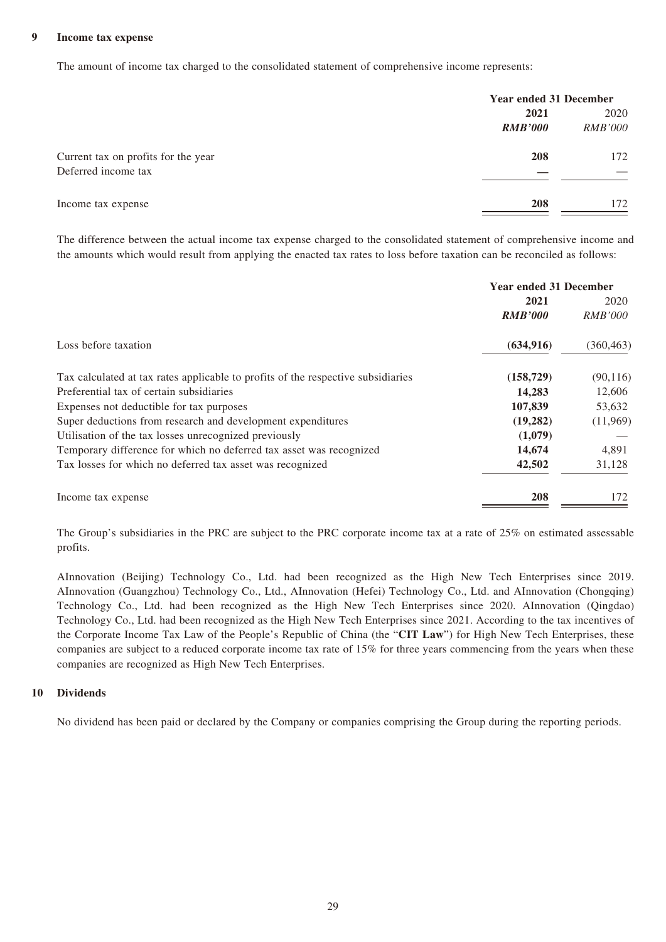#### **9 Income tax expense**

The amount of income tax charged to the consolidated statement of comprehensive income represents:

|                                     |                | <b>Year ended 31 December</b> |  |
|-------------------------------------|----------------|-------------------------------|--|
|                                     | 2021           | 2020                          |  |
|                                     | <b>RMB'000</b> | <i>RMB'000</i>                |  |
| Current tax on profits for the year | 208            | 172                           |  |
| Deferred income tax                 |                |                               |  |
| Income tax expense                  | 208            | 172                           |  |

The difference between the actual income tax expense charged to the consolidated statement of comprehensive income and the amounts which would result from applying the enacted tax rates to loss before taxation can be reconciled as follows:

|                                                                                  | <b>Year ended 31 December</b> |                |
|----------------------------------------------------------------------------------|-------------------------------|----------------|
|                                                                                  | 2021                          | 2020           |
|                                                                                  | <b>RMB'000</b>                | <i>RMB'000</i> |
| Loss before taxation                                                             | (634, 916)                    | (360, 463)     |
| Tax calculated at tax rates applicable to profits of the respective subsidiaries | (158, 729)                    | (90, 116)      |
| Preferential tax of certain subsidiaries                                         | 14,283                        | 12,606         |
| Expenses not deductible for tax purposes                                         | 107,839                       | 53,632         |
| Super deductions from research and development expenditures                      | (19,282)                      | (11,969)       |
| Utilisation of the tax losses unrecognized previously                            | (1,079)                       |                |
| Temporary difference for which no deferred tax asset was recognized              | 14,674                        | 4,891          |
| Tax losses for which no deferred tax asset was recognized                        | 42,502                        | 31,128         |
| Income tax expense                                                               | 208                           | 172            |

The Group's subsidiaries in the PRC are subject to the PRC corporate income tax at a rate of 25% on estimated assessable profits.

AInnovation (Beijing) Technology Co., Ltd. had been recognized as the High New Tech Enterprises since 2019. AInnovation (Guangzhou) Technology Co., Ltd., AInnovation (Hefei) Technology Co., Ltd. and AInnovation (Chongqing) Technology Co., Ltd. had been recognized as the High New Tech Enterprises since 2020. AInnovation (Qingdao) Technology Co., Ltd. had been recognized as the High New Tech Enterprises since 2021. According to the tax incentives of the Corporate Income Tax Law of the People's Republic of China (the "**CIT Law**") for High New Tech Enterprises, these companies are subject to a reduced corporate income tax rate of 15% for three years commencing from the years when these companies are recognized as High New Tech Enterprises.

#### **10 Dividends**

No dividend has been paid or declared by the Company or companies comprising the Group during the reporting periods.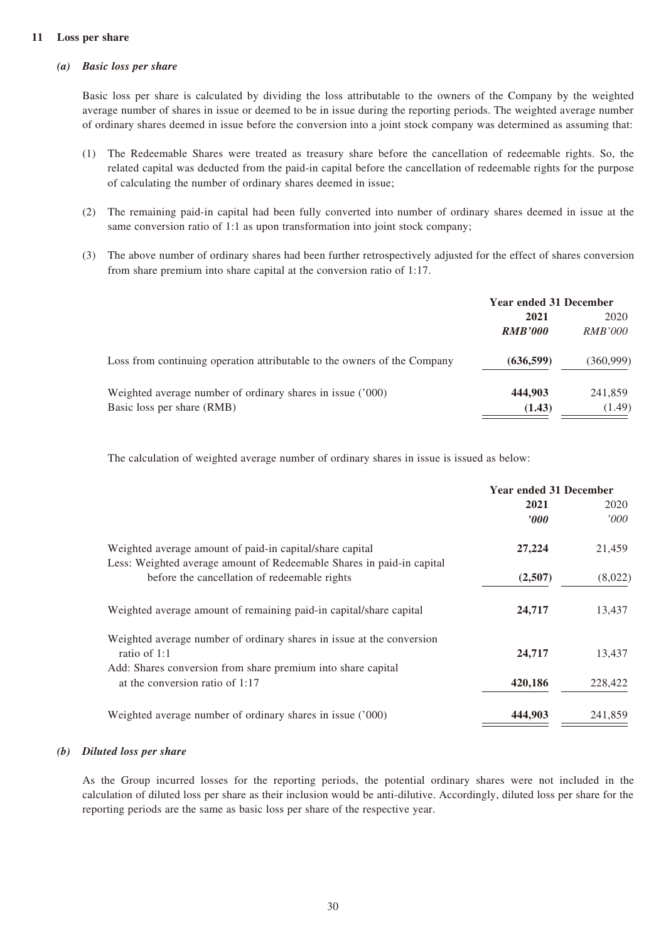#### **11 Loss per share**

#### *(a) Basic loss per share*

Basic loss per share is calculated by dividing the loss attributable to the owners of the Company by the weighted average number of shares in issue or deemed to be in issue during the reporting periods. The weighted average number of ordinary shares deemed in issue before the conversion into a joint stock company was determined as assuming that:

- (1) The Redeemable Shares were treated as treasury share before the cancellation of redeemable rights. So, the related capital was deducted from the paid-in capital before the cancellation of redeemable rights for the purpose of calculating the number of ordinary shares deemed in issue;
- (2) The remaining paid-in capital had been fully converted into number of ordinary shares deemed in issue at the same conversion ratio of 1:1 as upon transformation into joint stock company;
- (3) The above number of ordinary shares had been further retrospectively adjusted for the effect of shares conversion from share premium into share capital at the conversion ratio of 1:17.

|                                                                          | <b>Year ended 31 December</b> |                |
|--------------------------------------------------------------------------|-------------------------------|----------------|
|                                                                          | 2020<br>2021                  |                |
|                                                                          | <b>RMB'000</b>                | <i>RMB'000</i> |
| Loss from continuing operation attributable to the owners of the Company | (636, 599)                    | (360, 999)     |
| Weighted average number of ordinary shares in issue ('000)               | 444,903                       | 241,859        |
| Basic loss per share (RMB)                                               | (1.43)                        | (1.49)         |

The calculation of weighted average number of ordinary shares in issue is issued as below:

|                                                                                                                                                       | <b>Year ended 31 December</b> |         |
|-------------------------------------------------------------------------------------------------------------------------------------------------------|-------------------------------|---------|
|                                                                                                                                                       | 2021                          | 2020    |
|                                                                                                                                                       | $\bm{v}$                      | 000'    |
| Weighted average amount of paid-in capital/share capital<br>Less: Weighted average amount of Redeemable Shares in paid-in capital                     | 27,224                        | 21,459  |
| before the cancellation of redeemable rights                                                                                                          | (2,507)                       | (8,022) |
| Weighted average amount of remaining paid-in capital/share capital                                                                                    | 24,717                        | 13,437  |
| Weighted average number of ordinary shares in issue at the conversion<br>ratio of 1:1<br>Add: Shares conversion from share premium into share capital | 24,717                        | 13,437  |
| at the conversion ratio of $1:17$                                                                                                                     | 420,186                       | 228,422 |
| Weighted average number of ordinary shares in issue ('000)                                                                                            | 444,903                       | 241,859 |

#### *(b) Diluted loss per share*

As the Group incurred losses for the reporting periods, the potential ordinary shares were not included in the calculation of diluted loss per share as their inclusion would be anti-dilutive. Accordingly, diluted loss per share for the reporting periods are the same as basic loss per share of the respective year.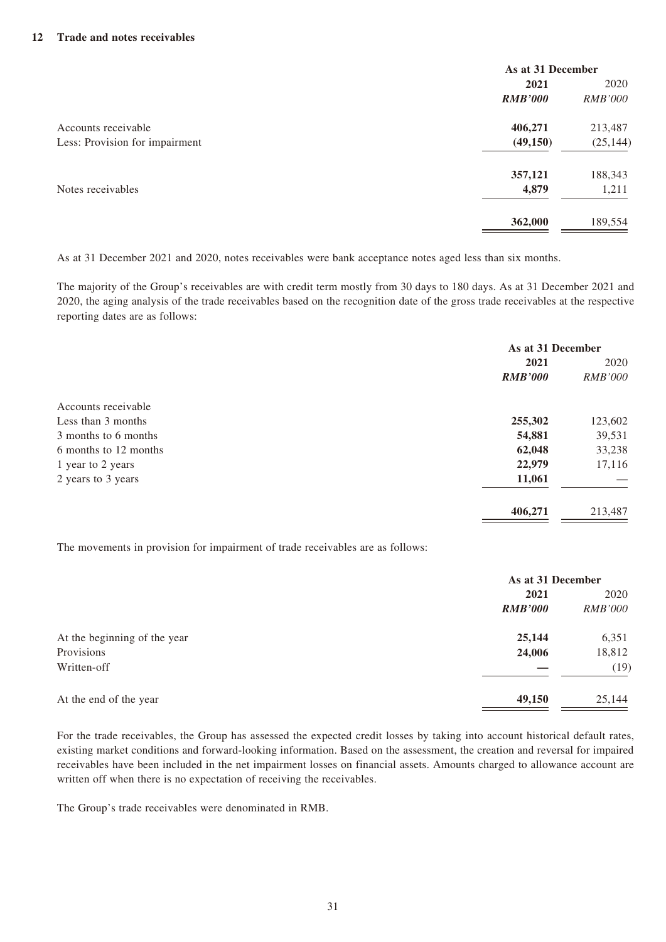|                                | As at 31 December |                |
|--------------------------------|-------------------|----------------|
|                                | 2021              | 2020           |
|                                | <b>RMB'000</b>    | <b>RMB'000</b> |
| Accounts receivable            | 406,271           | 213,487        |
| Less: Provision for impairment | (49, 150)         | (25, 144)      |
|                                | 357,121           | 188,343        |
| Notes receivables              | 4,879             | 1,211          |
|                                | 362,000           | 189,554        |

As at 31 December 2021 and 2020, notes receivables were bank acceptance notes aged less than six months.

The majority of the Group's receivables are with credit term mostly from 30 days to 180 days. As at 31 December 2021 and 2020, the aging analysis of the trade receivables based on the recognition date of the gross trade receivables at the respective reporting dates are as follows:

|                       | As at 31 December |                |
|-----------------------|-------------------|----------------|
|                       | 2021              | 2020           |
|                       | <b>RMB'000</b>    | <b>RMB'000</b> |
| Accounts receivable   |                   |                |
| Less than 3 months    | 255,302           | 123,602        |
| 3 months to 6 months  | 54,881            | 39,531         |
| 6 months to 12 months | 62,048            | 33,238         |
| 1 year to 2 years     | 22,979            | 17,116         |
| 2 years to 3 years    | 11,061            |                |
|                       | 406,271           | 213,487        |

The movements in provision for impairment of trade receivables are as follows:

|                              | As at 31 December |                |
|------------------------------|-------------------|----------------|
|                              | 2021              |                |
|                              | <b>RMB'000</b>    | <i>RMB'000</i> |
| At the beginning of the year | 25,144            | 6,351          |
| Provisions                   | 24,006            | 18,812         |
| Written-off                  |                   | (19)           |
| At the end of the year       | 49,150            | 25,144         |

For the trade receivables, the Group has assessed the expected credit losses by taking into account historical default rates, existing market conditions and forward-looking information. Based on the assessment, the creation and reversal for impaired receivables have been included in the net impairment losses on financial assets. Amounts charged to allowance account are written off when there is no expectation of receiving the receivables.

The Group's trade receivables were denominated in RMB.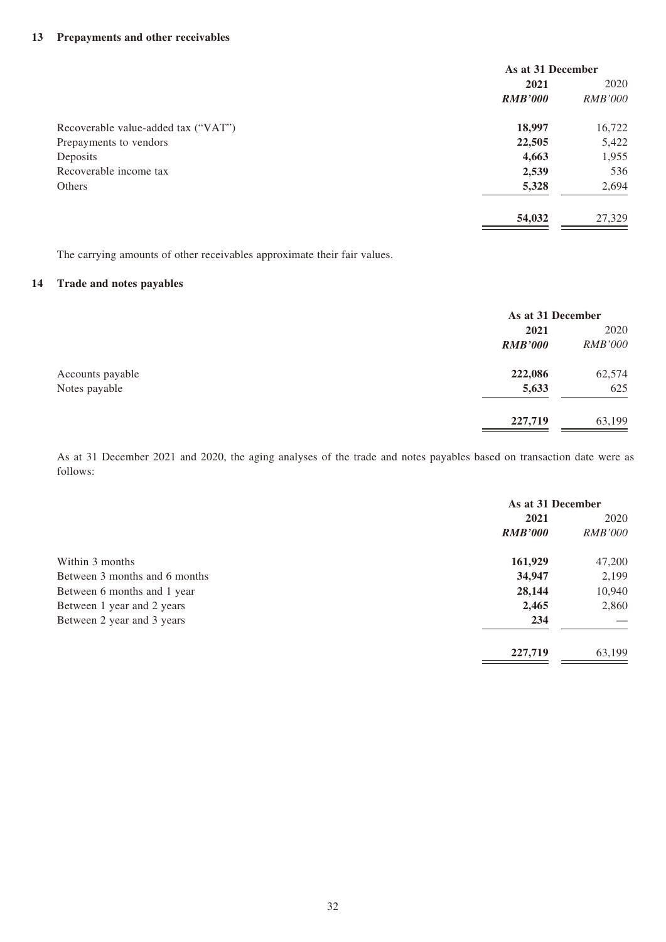|                                     | As at 31 December |                |
|-------------------------------------|-------------------|----------------|
|                                     | 2021              | 2020           |
|                                     | <b>RMB'000</b>    | <i>RMB'000</i> |
| Recoverable value-added tax ("VAT") | 18,997            | 16,722         |
| Prepayments to vendors              | 22,505            | 5,422          |
| Deposits                            | 4,663             | 1,955          |
| Recoverable income tax              | 2,539             | 536            |
| Others                              | 5,328             | 2,694          |
|                                     | 54,032            | 27,329         |

The carrying amounts of other receivables approximate their fair values.

#### **14 Trade and notes payables**

|                  |                | As at 31 December |  |
|------------------|----------------|-------------------|--|
|                  | 2021           | 2020              |  |
|                  | <b>RMB'000</b> | <b>RMB'000</b>    |  |
| Accounts payable | 222,086        | 62,574            |  |
| Notes payable    | 5,633          | 625               |  |
|                  | 227,719        | 63,199            |  |

As at 31 December 2021 and 2020, the aging analyses of the trade and notes payables based on transaction date were as follows:

|                               | As at 31 December |                |
|-------------------------------|-------------------|----------------|
|                               | 2021              | 2020           |
|                               | <b>RMB'000</b>    | <b>RMB'000</b> |
| Within 3 months               | 161,929           | 47,200         |
| Between 3 months and 6 months | 34,947            | 2,199          |
| Between 6 months and 1 year   | 28,144            | 10,940         |
| Between 1 year and 2 years    | 2,465             | 2,860          |
| Between 2 year and 3 years    | 234               |                |
|                               | 227,719           | 63,199         |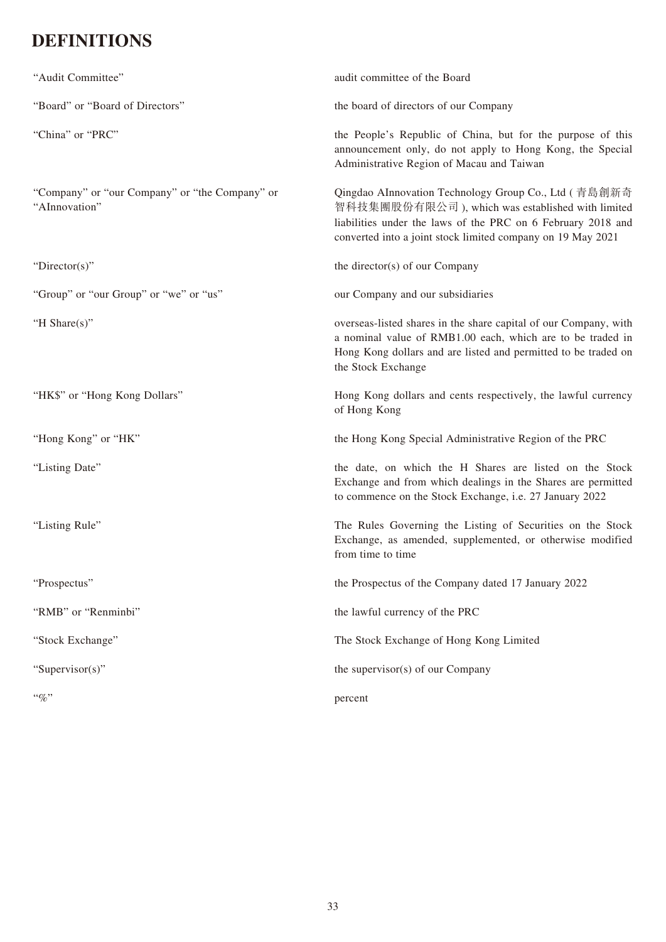# **DEFINITIONS**

| "Audit Committee"                                               | audit committee of the Board                                                                                                                                                                                                            |
|-----------------------------------------------------------------|-----------------------------------------------------------------------------------------------------------------------------------------------------------------------------------------------------------------------------------------|
| "Board" or "Board of Directors"                                 | the board of directors of our Company                                                                                                                                                                                                   |
| "China" or "PRC"                                                | the People's Republic of China, but for the purpose of this<br>announcement only, do not apply to Hong Kong, the Special<br>Administrative Region of Macau and Taiwan                                                                   |
| "Company" or "our Company" or "the Company" or<br>"AInnovation" | Qingdao AInnovation Technology Group Co., Ltd (青島創新奇<br>智科技集團股份有限公司), which was established with limited<br>liabilities under the laws of the PRC on 6 February 2018 and<br>converted into a joint stock limited company on 19 May 2021 |
| "Director(s)"                                                   | the director(s) of our Company                                                                                                                                                                                                          |
| "Group" or "our Group" or "we" or "us"                          | our Company and our subsidiaries                                                                                                                                                                                                        |
| "H Share(s)"                                                    | overseas-listed shares in the share capital of our Company, with<br>a nominal value of RMB1.00 each, which are to be traded in<br>Hong Kong dollars and are listed and permitted to be traded on<br>the Stock Exchange                  |
| "HK\$" or "Hong Kong Dollars"                                   | Hong Kong dollars and cents respectively, the lawful currency<br>of Hong Kong                                                                                                                                                           |
| "Hong Kong" or "HK"                                             | the Hong Kong Special Administrative Region of the PRC                                                                                                                                                                                  |
| "Listing Date"                                                  | the date, on which the H Shares are listed on the Stock<br>Exchange and from which dealings in the Shares are permitted<br>to commence on the Stock Exchange, i.e. 27 January 2022                                                      |
| "Listing Rule"                                                  | The Rules Governing the Listing of Securities on the Stock<br>Exchange, as amended, supplemented, or otherwise modified<br>from time to time                                                                                            |
| "Prospectus"                                                    | the Prospectus of the Company dated 17 January 2022                                                                                                                                                                                     |
| "RMB" or "Renminbi"                                             | the lawful currency of the PRC                                                                                                                                                                                                          |
| "Stock Exchange"                                                | The Stock Exchange of Hong Kong Limited                                                                                                                                                                                                 |
| "Supervisor(s)"                                                 | the supervisor(s) of our Company                                                                                                                                                                                                        |
| $``\%"$                                                         | percent                                                                                                                                                                                                                                 |